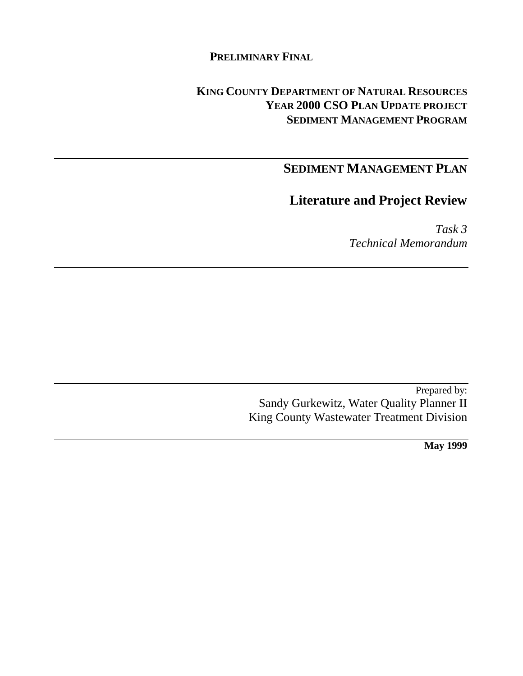## **PRELIMINARY FINAL**

## **KING COUNTY DEPARTMENT OF NATURAL RESOURCES YEAR 2000 CSO PLAN UPDATE PROJECT SEDIMENT MANAGEMENT PROGRAM**

# **SEDIMENT MANAGEMENT PLAN**

## **Literature and Project Review**

*Task 3 Technical Memorandum*

Prepared by: Sandy Gurkewitz, Water Quality Planner II King County Wastewater Treatment Division

**May 1999**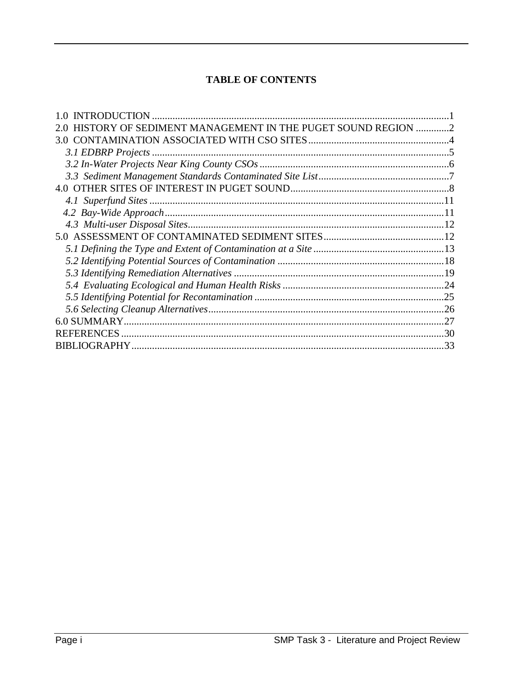## **TABLE OF CONTENTS**

| HISTORY OF SEDIMENT MANAGEMENT IN THE PUGET SOUND REGION 2 |  |
|------------------------------------------------------------|--|
| 3.0                                                        |  |
|                                                            |  |
|                                                            |  |
|                                                            |  |
|                                                            |  |
|                                                            |  |
|                                                            |  |
|                                                            |  |
|                                                            |  |
|                                                            |  |
|                                                            |  |
|                                                            |  |
|                                                            |  |
|                                                            |  |
|                                                            |  |
|                                                            |  |
| <b>REFERENCES</b>                                          |  |
|                                                            |  |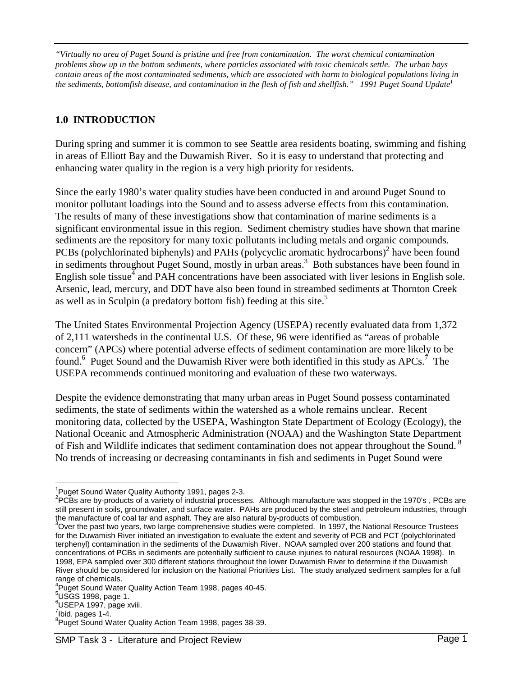*"Virtually no area of Puget Sound is pristine and free from contamination. The worst chemical contamination problems show up in the bottom sediments, where particles associated with toxic chemicals settle. The urban bays contain areas of the most contaminated sediments, which are associated with harm to biological populations living in the sediments, bottomfish disease, and contamination in the flesh of fish and shellfish." 1991 Puget Sound Update<sup>1</sup>*

## **1.0 INTRODUCTION**

During spring and summer it is common to see Seattle area residents boating, swimming and fishing in areas of Elliott Bay and the Duwamish River. So it is easy to understand that protecting and enhancing water quality in the region is a very high priority for residents.

Since the early 1980's water quality studies have been conducted in and around Puget Sound to monitor pollutant loadings into the Sound and to assess adverse effects from this contamination. The results of many of these investigations show that contamination of marine sediments is a significant environmental issue in this region. Sediment chemistry studies have shown that marine sediments are the repository for many toxic pollutants including metals and organic compounds. PCBs (polychlorinated biphenyls) and PAHs (polycyclic aromatic hydrocarbons)<sup>2</sup> have been found in sediments throughout Puget Sound, mostly in urban areas.<sup>3</sup> Both substances have been found in English sole tissue $\frac{3}{4}$  and PAH concentrations have been associated with liver lesions in English sole. Arsenic, lead, mercury, and DDT have also been found in streambed sediments at Thornton Creek as well as in Sculpin (a predatory bottom fish) feeding at this site.<sup>5</sup>

The United States Environmental Projection Agency (USEPA) recently evaluated data from 1,372 of 2,111 watersheds in the continental U.S. Of these, 96 were identified as "areas of probable concern" (APCs) where potential adverse effects of sediment contamination are more likely to be found.<sup>6</sup> Puget Sound and the Duwamish River were both identified in this study as APCs.<sup>7</sup> The USEPA recommends continued monitoring and evaluation of these two waterways.

Despite the evidence demonstrating that many urban areas in Puget Sound possess contaminated sediments, the state of sediments within the watershed as a whole remains unclear. Recent monitoring data, collected by the USEPA, Washington State Department of Ecology (Ecology), the National Oceanic and Atmospheric Administration (NOAA) and the Washington State Department of Fish and Wildlife indicates that sediment contamination does not appear throughout the Sound.<sup>8</sup> No trends of increasing or decreasing contaminants in fish and sediments in Puget Sound were

 $5$ USGS 1998, page 1.

 $\overline{a}$ <sup>1</sup>Puget Sound Water Quality Authority 1991, pages 2-3.

 $2$ PCBs are by-products of a variety of industrial processes. Although manufacture was stopped in the 1970's , PCBs are still present in soils, groundwater, and surface water. PAHs are produced by the steel and petroleum industries, through the manufacture of coal tar and asphalt. They are also natural by-products of combustion.

<sup>&</sup>lt;sup>3</sup>Over the past two years, two large comprehensive studies were completed. In 1997, the National Resource Trustees for the Duwamish River initiated an investigation to evaluate the extent and severity of PCB and PCT (polychlorinated terphenyl) contamination in the sediments of the Duwamish River. NOAA sampled over 200 stations and found that concentrations of PCBs in sediments are potentially sufficient to cause injuries to natural resources (NOAA 1998). In 1998, EPA sampled over 300 different stations throughout the lower Duwamish River to determine if the Duwamish River should be considered for inclusion on the National Priorities List. The study analyzed sediment samples for a full range of chemicals.

<sup>4</sup> Puget Sound Water Quality Action Team 1998, pages 40-45.

<sup>6</sup> USEPA 1997, page xviii.

 $7$ Ibid. pages 1-4.

<sup>&</sup>lt;sup>8</sup>Puget Sound Water Quality Action Team 1998, pages 38-39.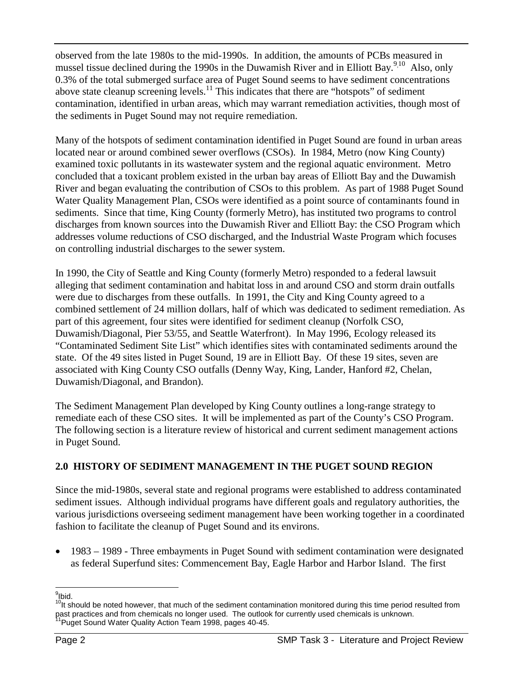observed from the late 1980s to the mid-1990s. In addition, the amounts of PCBs measured in mussel tissue declined during the 1990s in the Duwamish River and in Elliott Bay.<sup>9,10</sup> Also, only 0.3% of the total submerged surface area of Puget Sound seems to have sediment concentrations above state cleanup screening levels.<sup>11</sup> This indicates that there are "hotspots" of sediment contamination, identified in urban areas, which may warrant remediation activities, though most of the sediments in Puget Sound may not require remediation.

Many of the hotspots of sediment contamination identified in Puget Sound are found in urban areas located near or around combined sewer overflows (CSOs). In 1984, Metro (now King County) examined toxic pollutants in its wastewater system and the regional aquatic environment. Metro concluded that a toxicant problem existed in the urban bay areas of Elliott Bay and the Duwamish River and began evaluating the contribution of CSOs to this problem. As part of 1988 Puget Sound Water Quality Management Plan, CSOs were identified as a point source of contaminants found in sediments. Since that time, King County (formerly Metro), has instituted two programs to control discharges from known sources into the Duwamish River and Elliott Bay: the CSO Program which addresses volume reductions of CSO discharged, and the Industrial Waste Program which focuses on controlling industrial discharges to the sewer system.

In 1990, the City of Seattle and King County (formerly Metro) responded to a federal lawsuit alleging that sediment contamination and habitat loss in and around CSO and storm drain outfalls were due to discharges from these outfalls. In 1991, the City and King County agreed to a combined settlement of 24 million dollars, half of which was dedicated to sediment remediation. As part of this agreement, four sites were identified for sediment cleanup (Norfolk CSO, Duwamish/Diagonal, Pier 53/55, and Seattle Waterfront). In May 1996, Ecology released its "Contaminated Sediment Site List" which identifies sites with contaminated sediments around the state. Of the 49 sites listed in Puget Sound, 19 are in Elliott Bay. Of these 19 sites, seven are associated with King County CSO outfalls (Denny Way, King, Lander, Hanford #2, Chelan, Duwamish/Diagonal, and Brandon).

The Sediment Management Plan developed by King County outlines a long-range strategy to remediate each of these CSO sites. It will be implemented as part of the County's CSO Program. The following section is a literature review of historical and current sediment management actions in Puget Sound.

## **2.0 HISTORY OF SEDIMENT MANAGEMENT IN THE PUGET SOUND REGION**

Since the mid-1980s, several state and regional programs were established to address contaminated sediment issues. Although individual programs have different goals and regulatory authorities, the various jurisdictions overseeing sediment management have been working together in a coordinated fashion to facilitate the cleanup of Puget Sound and its environs.

• 1983 – 1989 - Three embayments in Puget Sound with sediment contamination were designated as federal Superfund sites: Commencement Bay, Eagle Harbor and Harbor Island. The first

 9 Ibid. 10It should be noted however, that much of the sediment contamination monitored during this time period resulted from past practices and from chemicals no longer used. The outlook for currently used chemicals is unknown. Puget Sound Water Quality Action Team 1998, pages 40-45.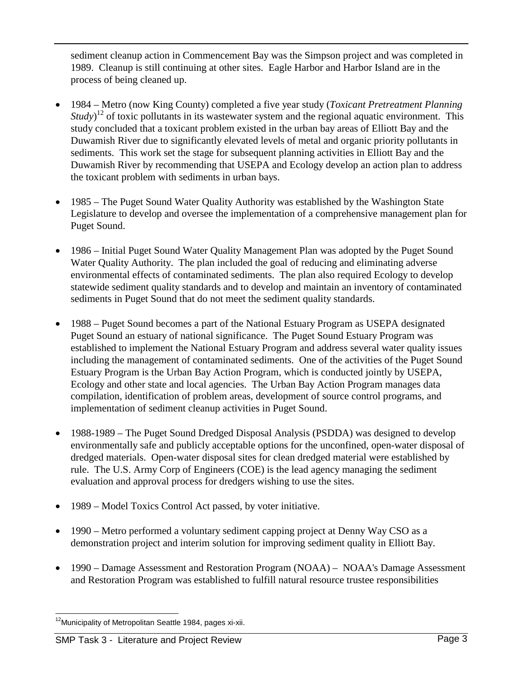sediment cleanup action in Commencement Bay was the Simpson project and was completed in 1989. Cleanup is still continuing at other sites. Eagle Harbor and Harbor Island are in the process of being cleaned up.

- 1984 Metro (now King County) completed a five year study (*Toxicant Pretreatment Planning Study*<sup>12</sup> of toxic pollutants in its wastewater system and the regional aquatic environment. This study concluded that a toxicant problem existed in the urban bay areas of Elliott Bay and the Duwamish River due to significantly elevated levels of metal and organic priority pollutants in sediments. This work set the stage for subsequent planning activities in Elliott Bay and the Duwamish River by recommending that USEPA and Ecology develop an action plan to address the toxicant problem with sediments in urban bays.
- 1985 The Puget Sound Water Quality Authority was established by the Washington State Legislature to develop and oversee the implementation of a comprehensive management plan for Puget Sound.
- 1986 Initial Puget Sound Water Quality Management Plan was adopted by the Puget Sound Water Quality Authority. The plan included the goal of reducing and eliminating adverse environmental effects of contaminated sediments. The plan also required Ecology to develop statewide sediment quality standards and to develop and maintain an inventory of contaminated sediments in Puget Sound that do not meet the sediment quality standards.
- 1988 Puget Sound becomes a part of the National Estuary Program as USEPA designated Puget Sound an estuary of national significance. The Puget Sound Estuary Program was established to implement the National Estuary Program and address several water quality issues including the management of contaminated sediments. One of the activities of the Puget Sound Estuary Program is the Urban Bay Action Program, which is conducted jointly by USEPA, Ecology and other state and local agencies. The Urban Bay Action Program manages data compilation, identification of problem areas, development of source control programs, and implementation of sediment cleanup activities in Puget Sound.
- 1988-1989 The Puget Sound Dredged Disposal Analysis (PSDDA) was designed to develop environmentally safe and publicly acceptable options for the unconfined, open-water disposal of dredged materials. Open-water disposal sites for clean dredged material were established by rule. The U.S. Army Corp of Engineers (COE) is the lead agency managing the sediment evaluation and approval process for dredgers wishing to use the sites.
- 1989 Model Toxics Control Act passed, by voter initiative.
- 1990 Metro performed a voluntary sediment capping project at Denny Way CSO as a demonstration project and interim solution for improving sediment quality in Elliott Bay.
- 1990 Damage Assessment and Restoration Program (NOAA) NOAA's Damage Assessment and Restoration Program was established to fulfill natural resource trustee responsibilities

 $\overline{a}$ <sup>12</sup>Municipality of Metropolitan Seattle 1984, pages xi-xii.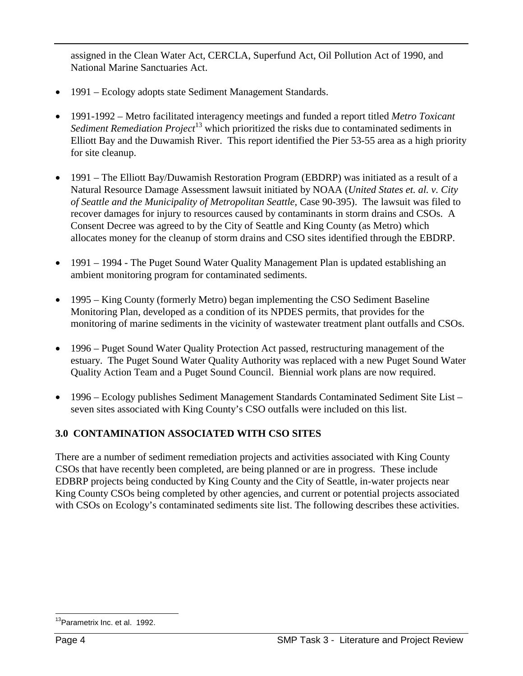assigned in the Clean Water Act, CERCLA, Superfund Act, Oil Pollution Act of 1990, and National Marine Sanctuaries Act.

- 1991 Ecology adopts state Sediment Management Standards.
- 1991-1992 Metro facilitated interagency meetings and funded a report titled *Metro Toxicant Sediment Remediation Project*13 which prioritized the risks due to contaminated sediments in Elliott Bay and the Duwamish River. This report identified the Pier 53-55 area as a high priority for site cleanup.
- 1991 The Elliott Bay/Duwamish Restoration Program (EBDRP) was initiated as a result of a Natural Resource Damage Assessment lawsuit initiated by NOAA (*United States et. al. v. City of Seattle and the Municipality of Metropolitan Seattle*, Case 90-395). The lawsuit was filed to recover damages for injury to resources caused by contaminants in storm drains and CSOs. A Consent Decree was agreed to by the City of Seattle and King County (as Metro) which allocates money for the cleanup of storm drains and CSO sites identified through the EBDRP.
- 1991 1994 The Puget Sound Water Quality Management Plan is updated establishing an ambient monitoring program for contaminated sediments.
- 1995 King County (formerly Metro) began implementing the CSO Sediment Baseline Monitoring Plan, developed as a condition of its NPDES permits, that provides for the monitoring of marine sediments in the vicinity of wastewater treatment plant outfalls and CSOs.
- 1996 Puget Sound Water Quality Protection Act passed, restructuring management of the estuary. The Puget Sound Water Quality Authority was replaced with a new Puget Sound Water Quality Action Team and a Puget Sound Council. Biennial work plans are now required.
- 1996 Ecology publishes Sediment Management Standards Contaminated Sediment Site List seven sites associated with King County's CSO outfalls were included on this list.

## **3.0 CONTAMINATION ASSOCIATED WITH CSO SITES**

There are a number of sediment remediation projects and activities associated with King County CSOs that have recently been completed, are being planned or are in progress. These include EDBRP projects being conducted by King County and the City of Seattle, in-water projects near King County CSOs being completed by other agencies, and current or potential projects associated with CSOs on Ecology's contaminated sediments site list. The following describes these activities.

 $\overline{a}$ <sup>13</sup>Parametrix Inc. et al. 1992.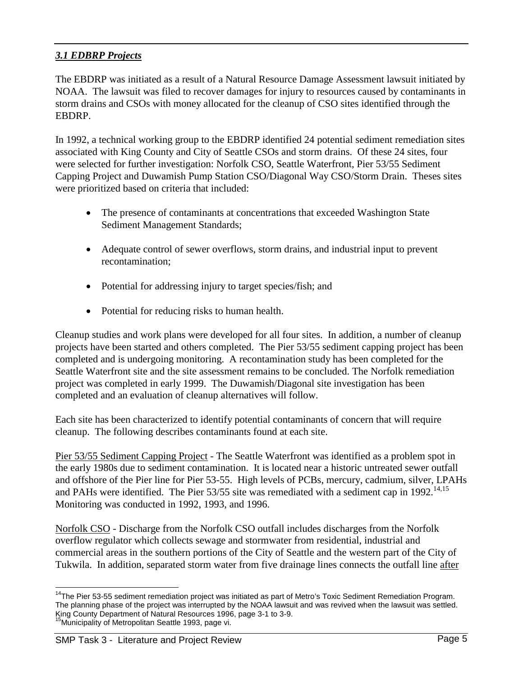## *3.1 EDBRP Projects*

The EBDRP was initiated as a result of a Natural Resource Damage Assessment lawsuit initiated by NOAA. The lawsuit was filed to recover damages for injury to resources caused by contaminants in storm drains and CSOs with money allocated for the cleanup of CSO sites identified through the EBDRP.

In 1992, a technical working group to the EBDRP identified 24 potential sediment remediation sites associated with King County and City of Seattle CSOs and storm drains. Of these 24 sites, four were selected for further investigation: Norfolk CSO, Seattle Waterfront, Pier 53/55 Sediment Capping Project and Duwamish Pump Station CSO/Diagonal Way CSO/Storm Drain. Theses sites were prioritized based on criteria that included:

- The presence of contaminants at concentrations that exceeded Washington State Sediment Management Standards;
- Adequate control of sewer overflows, storm drains, and industrial input to prevent recontamination;
- Potential for addressing injury to target species/fish; and
- Potential for reducing risks to human health.

Cleanup studies and work plans were developed for all four sites. In addition, a number of cleanup projects have been started and others completed. The Pier 53/55 sediment capping project has been completed and is undergoing monitoring. A recontamination study has been completed for the Seattle Waterfront site and the site assessment remains to be concluded. The Norfolk remediation project was completed in early 1999. The Duwamish/Diagonal site investigation has been completed and an evaluation of cleanup alternatives will follow.

Each site has been characterized to identify potential contaminants of concern that will require cleanup. The following describes contaminants found at each site.

Pier 53/55 Sediment Capping Project - The Seattle Waterfront was identified as a problem spot in the early 1980s due to sediment contamination. It is located near a historic untreated sewer outfall and offshore of the Pier line for Pier 53-55. High levels of PCBs, mercury, cadmium, silver, LPAHs and PAHs were identified. The Pier  $53/55$  site was remediated with a sediment cap in 1992.<sup>14,15</sup> Monitoring was conducted in 1992, 1993, and 1996.

Norfolk CSO - Discharge from the Norfolk CSO outfall includes discharges from the Norfolk overflow regulator which collects sewage and stormwater from residential, industrial and commercial areas in the southern portions of the City of Seattle and the western part of the City of Tukwila. In addition, separated storm water from five drainage lines connects the outfall line after

 $\overline{a}$ <sup>14</sup>The Pier 53-55 sediment remediation project was initiated as part of Metro's Toxic Sediment Remediation Program. The planning phase of the project was interrupted by the NOAA lawsuit and was revived when the lawsuit was settled. King County Department of Natural Resources 1996, page 3-1 to 3-9. <sup>5</sup>Municipality of Metropolitan Seattle 1993, page vi.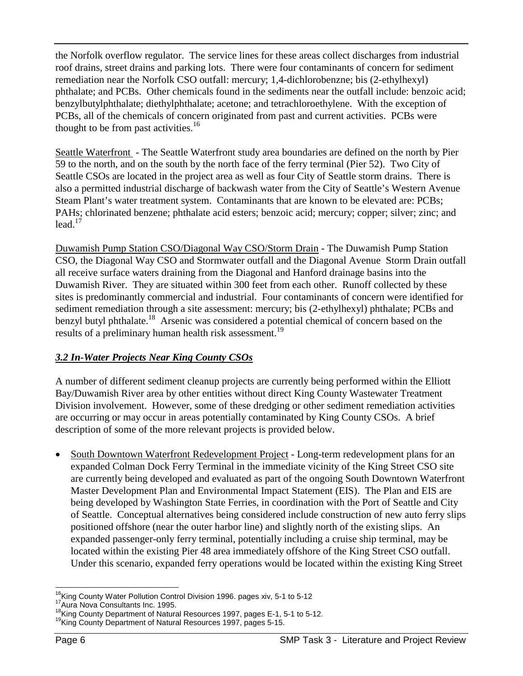the Norfolk overflow regulator. The service lines for these areas collect discharges from industrial roof drains, street drains and parking lots. There were four contaminants of concern for sediment remediation near the Norfolk CSO outfall: mercury; 1,4-dichlorobenzne; bis (2-ethylhexyl) phthalate; and PCBs. Other chemicals found in the sediments near the outfall include: benzoic acid; benzylbutylphthalate; diethylphthalate; acetone; and tetrachloroethylene. With the exception of PCBs, all of the chemicals of concern originated from past and current activities. PCBs were thought to be from past activities.<sup>16</sup>

Seattle Waterfront - The Seattle Waterfront study area boundaries are defined on the north by Pier 59 to the north, and on the south by the north face of the ferry terminal (Pier 52). Two City of Seattle CSOs are located in the project area as well as four City of Seattle storm drains. There is also a permitted industrial discharge of backwash water from the City of Seattle's Western Avenue Steam Plant's water treatment system. Contaminants that are known to be elevated are: PCBs; PAHs; chlorinated benzene; phthalate acid esters; benzoic acid; mercury; copper; silver; zinc; and  $lead.$ <sup>17</sup>

Duwamish Pump Station CSO/Diagonal Way CSO/Storm Drain - The Duwamish Pump Station CSO, the Diagonal Way CSO and Stormwater outfall and the Diagonal Avenue Storm Drain outfall all receive surface waters draining from the Diagonal and Hanford drainage basins into the Duwamish River. They are situated within 300 feet from each other. Runoff collected by these sites is predominantly commercial and industrial. Four contaminants of concern were identified for sediment remediation through a site assessment: mercury; bis (2-ethylhexyl) phthalate; PCBs and benzyl butyl phthalate.<sup>18</sup> Arsenic was considered a potential chemical of concern based on the results of a preliminary human health risk assessment.<sup>19</sup>

## *3.2 In-Water Projects Near King County CSOs*

A number of different sediment cleanup projects are currently being performed within the Elliott Bay/Duwamish River area by other entities without direct King County Wastewater Treatment Division involvement. However, some of these dredging or other sediment remediation activities are occurring or may occur in areas potentially contaminated by King County CSOs. A brief description of some of the more relevant projects is provided below.

 South Downtown Waterfront Redevelopment Project - Long-term redevelopment plans for an expanded Colman Dock Ferry Terminal in the immediate vicinity of the King Street CSO site are currently being developed and evaluated as part of the ongoing South Downtown Waterfront Master Development Plan and Environmental Impact Statement (EIS). The Plan and EIS are being developed by Washington State Ferries, in coordination with the Port of Seattle and City of Seattle. Conceptual alternatives being considered include construction of new auto ferry slips positioned offshore (near the outer harbor line) and slightly north of the existing slips. An expanded passenger-only ferry terminal, potentially including a cruise ship terminal, may be located within the existing Pier 48 area immediately offshore of the King Street CSO outfall. Under this scenario, expanded ferry operations would be located within the existing King Street

 $\overline{a}$ 

<sup>&</sup>lt;sup>16</sup>King County Water Pollution Control Division 1996. pages xiv, 5-1 to 5-12<br><sup>17</sup>Aura Nova Consultants Inc. 1995.<br><sup>18</sup>King County Department of Natural Resources 1997, pages E-1, 5-1 to 5-12.<br><sup>19</sup>King County Department of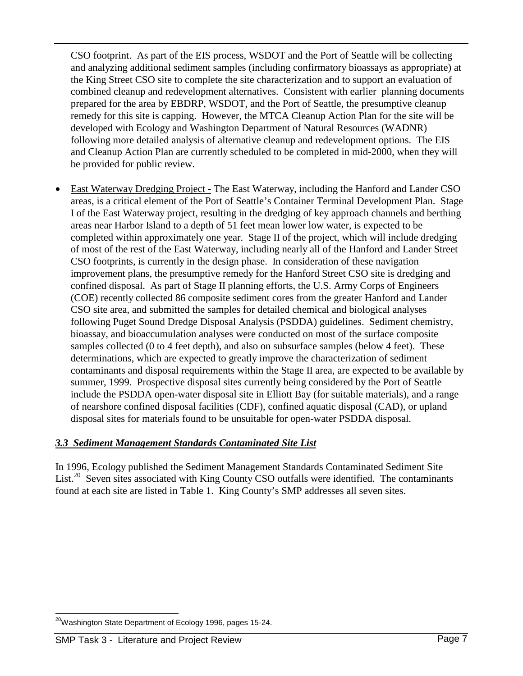CSO footprint. As part of the EIS process, WSDOT and the Port of Seattle will be collecting and analyzing additional sediment samples (including confirmatory bioassays as appropriate) at the King Street CSO site to complete the site characterization and to support an evaluation of combined cleanup and redevelopment alternatives. Consistent with earlier planning documents prepared for the area by EBDRP, WSDOT, and the Port of Seattle, the presumptive cleanup remedy for this site is capping. However, the MTCA Cleanup Action Plan for the site will be developed with Ecology and Washington Department of Natural Resources (WADNR) following more detailed analysis of alternative cleanup and redevelopment options. The EIS and Cleanup Action Plan are currently scheduled to be completed in mid-2000, when they will be provided for public review.

 East Waterway Dredging Project - The East Waterway, including the Hanford and Lander CSO areas, is a critical element of the Port of Seattle's Container Terminal Development Plan. Stage I of the East Waterway project, resulting in the dredging of key approach channels and berthing areas near Harbor Island to a depth of 51 feet mean lower low water, is expected to be completed within approximately one year. Stage II of the project, which will include dredging of most of the rest of the East Waterway, including nearly all of the Hanford and Lander Street CSO footprints, is currently in the design phase. In consideration of these navigation improvement plans, the presumptive remedy for the Hanford Street CSO site is dredging and confined disposal. As part of Stage II planning efforts, the U.S. Army Corps of Engineers (COE) recently collected 86 composite sediment cores from the greater Hanford and Lander CSO site area, and submitted the samples for detailed chemical and biological analyses following Puget Sound Dredge Disposal Analysis (PSDDA) guidelines. Sediment chemistry, bioassay, and bioaccumulation analyses were conducted on most of the surface composite samples collected (0 to 4 feet depth), and also on subsurface samples (below 4 feet). These determinations, which are expected to greatly improve the characterization of sediment contaminants and disposal requirements within the Stage II area, are expected to be available by summer, 1999. Prospective disposal sites currently being considered by the Port of Seattle include the PSDDA open-water disposal site in Elliott Bay (for suitable materials), and a range of nearshore confined disposal facilities (CDF), confined aquatic disposal (CAD), or upland disposal sites for materials found to be unsuitable for open-water PSDDA disposal.

#### *3.3 Sediment Management Standards Contaminated Site List*

In 1996, Ecology published the Sediment Management Standards Contaminated Sediment Site List.<sup>20</sup> Seven sites associated with King County CSO outfalls were identified. The contaminants found at each site are listed in Table 1. King County's SMP addresses all seven sites.

 $\overline{a}$  $^{20}$ Washington State Department of Ecology 1996, pages 15-24.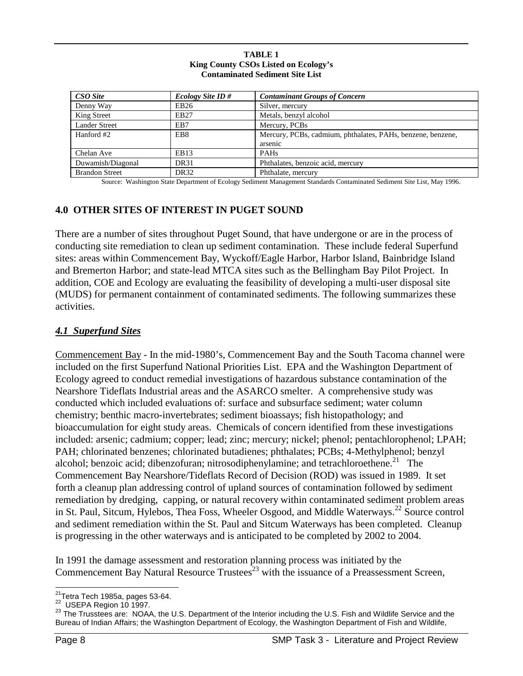| <b>TABLE 1</b>                         |
|----------------------------------------|
| King County CSOs Listed on Ecology's   |
| <b>Contaminated Sediment Site List</b> |

| CSO Site              | <i>Ecology Site ID#</i> | <b>Contaminant Groups of Concern</b>                        |
|-----------------------|-------------------------|-------------------------------------------------------------|
| Denny Way             | EB26                    | Silver, mercury                                             |
| King Street           | EB27                    | Metals, benzyl alcohol                                      |
| <b>Lander Street</b>  | EB7                     | Mercury, PCBs                                               |
| Hanford #2            | EB <sub>8</sub>         | Mercury, PCBs, cadmium, phthalates, PAHs, benzene, benzene, |
|                       |                         | arsenic                                                     |
| Chelan Ave            | EB <sub>13</sub>        | <b>PAHs</b>                                                 |
| Duwamish/Diagonal     | DR31                    | Phthalates, benzoic acid, mercury                           |
| <b>Brandon Street</b> | DR <sub>32</sub>        | Phthalate, mercury                                          |

Source: Washington State Department of Ecology Sediment Management Standards Contaminated Sediment Site List, May 1996.

#### **4.0 OTHER SITES OF INTEREST IN PUGET SOUND**

There are a number of sites throughout Puget Sound, that have undergone or are in the process of conducting site remediation to clean up sediment contamination. These include federal Superfund sites: areas within Commencement Bay, Wyckoff/Eagle Harbor, Harbor Island, Bainbridge Island and Bremerton Harbor; and state-lead MTCA sites such as the Bellingham Bay Pilot Project. In addition, COE and Ecology are evaluating the feasibility of developing a multi-user disposal site (MUDS) for permanent containment of contaminated sediments. The following summarizes these activities.

#### *4.1 Superfund Sites*

Commencement Bay - In the mid-1980's, Commencement Bay and the South Tacoma channel were included on the first Superfund National Priorities List. EPA and the Washington Department of Ecology agreed to conduct remedial investigations of hazardous substance contamination of the Nearshore Tideflats Industrial areas and the ASARCO smelter. A comprehensive study was conducted which included evaluations of: surface and subsurface sediment; water column chemistry; benthic macro-invertebrates; sediment bioassays; fish histopathology; and bioaccumulation for eight study areas. Chemicals of concern identified from these investigations included: arsenic; cadmium; copper; lead; zinc; mercury; nickel; phenol; pentachlorophenol; LPAH; PAH; chlorinated benzenes; chlorinated butadienes; phthalates; PCBs; 4-Methylphenol; benzyl alcohol; benzoic acid; dibenzofuran; nitrosodiphenylamine; and tetrachloroethene.<sup>21</sup> The Commencement Bay Nearshore/Tideflats Record of Decision (ROD) was issued in 1989. It set forth a cleanup plan addressing control of upland sources of contamination followed by sediment remediation by dredging, capping, or natural recovery within contaminated sediment problem areas in St. Paul, Sitcum, Hylebos, Thea Foss, Wheeler Osgood, and Middle Waterways.<sup>22</sup> Source control and sediment remediation within the St. Paul and Sitcum Waterways has been completed. Cleanup is progressing in the other waterways and is anticipated to be completed by 2002 to 2004.

In 1991 the damage assessment and restoration planning process was initiated by the Commencement Bay Natural Resource Trustees<sup>23</sup> with the issuance of a Preassessment Screen,

<sup>&</sup>lt;sup>21</sup>Tetra Tech 1985a, pages 53-64.<br>
<sup>22</sup> USEPA Region 10 1997.

Bust A Region 10 1997.<br><sup>23</sup> The Trusstees are: NOAA, the U.S. Department of the Interior including the U.S. Fish and Wildlife Service and the Bureau of Indian Affairs; the Washington Department of Ecology, the Washington Department of Fish and Wildlife,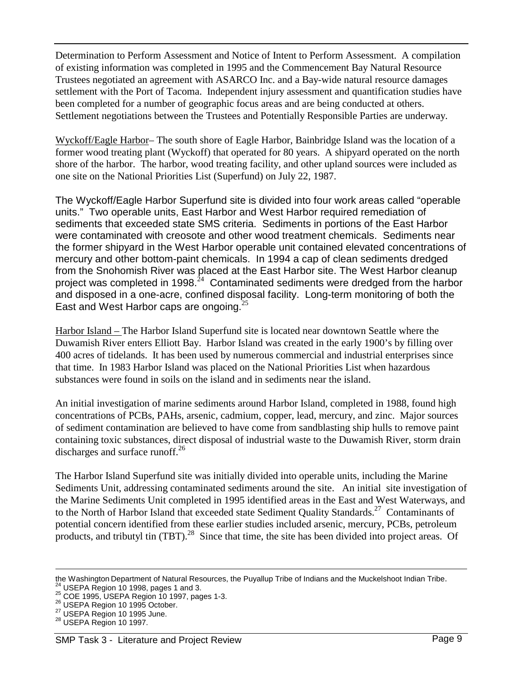Determination to Perform Assessment and Notice of Intent to Perform Assessment. A compilation of existing information was completed in 1995 and the Commencement Bay Natural Resource Trustees negotiated an agreement with ASARCO Inc. and a Bay-wide natural resource damages settlement with the Port of Tacoma. Independent injury assessment and quantification studies have been completed for a number of geographic focus areas and are being conducted at others. Settlement negotiations between the Trustees and Potentially Responsible Parties are underway.

Wyckoff/Eagle Harbor– The south shore of Eagle Harbor, Bainbridge Island was the location of a former wood treating plant (Wyckoff) that operated for 80 years. A shipyard operated on the north shore of the harbor. The harbor, wood treating facility, and other upland sources were included as one site on the National Priorities List (Superfund) on July 22, 1987.

The Wyckoff/Eagle Harbor Superfund site is divided into four work areas called "operable units." Two operable units, East Harbor and West Harbor required remediation of sediments that exceeded state SMS criteria. Sediments in portions of the East Harbor were contaminated with creosote and other wood treatment chemicals. Sediments near the former shipyard in the West Harbor operable unit contained elevated concentrations of mercury and other bottom-paint chemicals. In 1994 a cap of clean sediments dredged from the Snohomish River was placed at the East Harbor site. The West Harbor cleanup project was completed in 1998. $^{24}$  Contaminated sediments were dredged from the harbor and disposed in a one-acre, confined disposal facility. Long-term monitoring of both the East and West Harbor caps are ongoing. $25$ 

Harbor Island – The Harbor Island Superfund site is located near downtown Seattle where the Duwamish River enters Elliott Bay. Harbor Island was created in the early 1900's by filling over 400 acres of tidelands. It has been used by numerous commercial and industrial enterprises since that time. In 1983 Harbor Island was placed on the National Priorities List when hazardous substances were found in soils on the island and in sediments near the island.

An initial investigation of marine sediments around Harbor Island, completed in 1988, found high concentrations of PCBs, PAHs, arsenic, cadmium, copper, lead, mercury, and zinc. Major sources of sediment contamination are believed to have come from sandblasting ship hulls to remove paint containing toxic substances, direct disposal of industrial waste to the Duwamish River, storm drain discharges and surface runoff.<sup>26</sup>

The Harbor Island Superfund site was initially divided into operable units, including the Marine Sediments Unit, addressing contaminated sediments around the site. An initial site investigation of the Marine Sediments Unit completed in 1995 identified areas in the East and West Waterways, and to the North of Harbor Island that exceeded state Sediment Quality Standards.<sup>27</sup> Contaminants of potential concern identified from these earlier studies included arsenic, mercury, PCBs, petroleum products, and tributyl tin (TBT).<sup>28</sup> Since that time, the site has been divided into project areas. Of

the Washington Department of Natural Resources, the Puyallup Tribe of Indians and the Muckelshoot Indian Tribe.<br><sup>24</sup> USEPA Region 10 1998, pages 1 and 3.<br><sup>25</sup> COE 1995, USEPA Region 10 1997, pages 1-3.<br><sup>26</sup> USEPA Region 10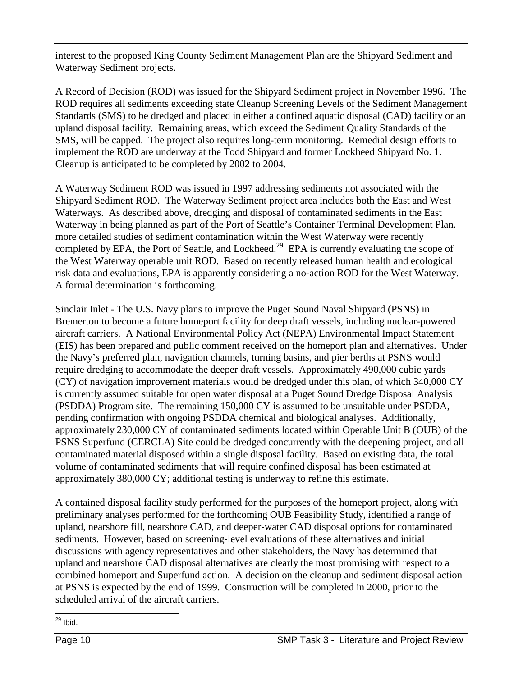interest to the proposed King County Sediment Management Plan are the Shipyard Sediment and Waterway Sediment projects.

A Record of Decision (ROD) was issued for the Shipyard Sediment project in November 1996. The ROD requires all sediments exceeding state Cleanup Screening Levels of the Sediment Management Standards (SMS) to be dredged and placed in either a confined aquatic disposal (CAD) facility or an upland disposal facility. Remaining areas, which exceed the Sediment Quality Standards of the SMS, will be capped. The project also requires long-term monitoring. Remedial design efforts to implement the ROD are underway at the Todd Shipyard and former Lockheed Shipyard No. 1. Cleanup is anticipated to be completed by 2002 to 2004.

A Waterway Sediment ROD was issued in 1997 addressing sediments not associated with the Shipyard Sediment ROD. The Waterway Sediment project area includes both the East and West Waterways. As described above, dredging and disposal of contaminated sediments in the East Waterway in being planned as part of the Port of Seattle's Container Terminal Development Plan. more detailed studies of sediment contamination within the West Waterway were recently completed by EPA, the Port of Seattle, and Lockheed.<sup>29</sup> EPA is currently evaluating the scope of the West Waterway operable unit ROD. Based on recently released human health and ecological risk data and evaluations, EPA is apparently considering a no-action ROD for the West Waterway. A formal determination is forthcoming.

Sinclair Inlet - The U.S. Navy plans to improve the Puget Sound Naval Shipyard (PSNS) in Bremerton to become a future homeport facility for deep draft vessels, including nuclear-powered aircraft carriers. A National Environmental Policy Act (NEPA) Environmental Impact Statement (EIS) has been prepared and public comment received on the homeport plan and alternatives. Under the Navy's preferred plan, navigation channels, turning basins, and pier berths at PSNS would require dredging to accommodate the deeper draft vessels. Approximately 490,000 cubic yards (CY) of navigation improvement materials would be dredged under this plan, of which 340,000 CY is currently assumed suitable for open water disposal at a Puget Sound Dredge Disposal Analysis (PSDDA) Program site. The remaining 150,000 CY is assumed to be unsuitable under PSDDA, pending confirmation with ongoing PSDDA chemical and biological analyses. Additionally, approximately 230,000 CY of contaminated sediments located within Operable Unit B (OUB) of the PSNS Superfund (CERCLA) Site could be dredged concurrently with the deepening project, and all contaminated material disposed within a single disposal facility. Based on existing data, the total volume of contaminated sediments that will require confined disposal has been estimated at approximately 380,000 CY; additional testing is underway to refine this estimate.

A contained disposal facility study performed for the purposes of the homeport project, along with preliminary analyses performed for the forthcoming OUB Feasibility Study, identified a range of upland, nearshore fill, nearshore CAD, and deeper-water CAD disposal options for contaminated sediments. However, based on screening-level evaluations of these alternatives and initial discussions with agency representatives and other stakeholders, the Navy has determined that upland and nearshore CAD disposal alternatives are clearly the most promising with respect to a combined homeport and Superfund action. A decision on the cleanup and sediment disposal action at PSNS is expected by the end of 1999. Construction will be completed in 2000, prior to the scheduled arrival of the aircraft carriers.

 $\overline{a}$  $29$  Ibid.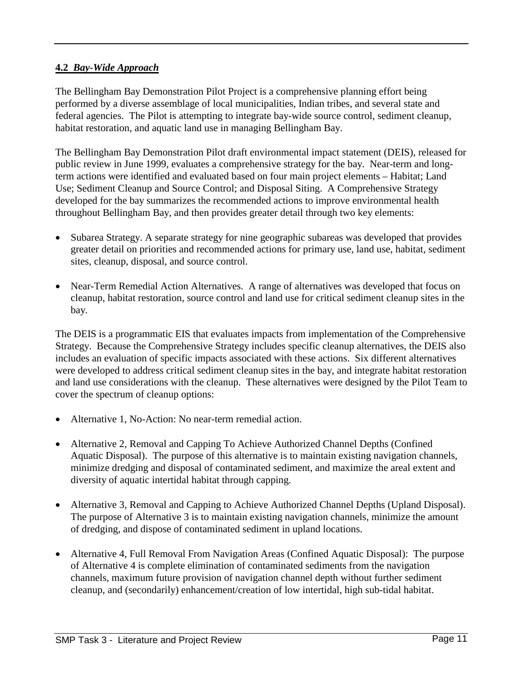#### **4.2** *Bay-Wide Approach*

The Bellingham Bay Demonstration Pilot Project is a comprehensive planning effort being performed by a diverse assemblage of local municipalities, Indian tribes, and several state and federal agencies. The Pilot is attempting to integrate bay-wide source control, sediment cleanup, habitat restoration, and aquatic land use in managing Bellingham Bay.

The Bellingham Bay Demonstration Pilot draft environmental impact statement (DEIS), released for public review in June 1999, evaluates a comprehensive strategy for the bay. Near-term and longterm actions were identified and evaluated based on four main project elements – Habitat; Land Use; Sediment Cleanup and Source Control; and Disposal Siting. A Comprehensive Strategy developed for the bay summarizes the recommended actions to improve environmental health throughout Bellingham Bay, and then provides greater detail through two key elements:

- Subarea Strategy. A separate strategy for nine geographic subareas was developed that provides greater detail on priorities and recommended actions for primary use, land use, habitat, sediment sites, cleanup, disposal, and source control.
- Near-Term Remedial Action Alternatives. A range of alternatives was developed that focus on cleanup, habitat restoration, source control and land use for critical sediment cleanup sites in the bay.

The DEIS is a programmatic EIS that evaluates impacts from implementation of the Comprehensive Strategy. Because the Comprehensive Strategy includes specific cleanup alternatives, the DEIS also includes an evaluation of specific impacts associated with these actions. Six different alternatives were developed to address critical sediment cleanup sites in the bay, and integrate habitat restoration and land use considerations with the cleanup. These alternatives were designed by the Pilot Team to cover the spectrum of cleanup options:

- Alternative 1, No-Action: No near-term remedial action.
- Alternative 2, Removal and Capping To Achieve Authorized Channel Depths (Confined Aquatic Disposal). The purpose of this alternative is to maintain existing navigation channels, minimize dredging and disposal of contaminated sediment, and maximize the areal extent and diversity of aquatic intertidal habitat through capping.
- Alternative 3, Removal and Capping to Achieve Authorized Channel Depths (Upland Disposal). The purpose of Alternative 3 is to maintain existing navigation channels, minimize the amount of dredging, and dispose of contaminated sediment in upland locations.
- Alternative 4, Full Removal From Navigation Areas (Confined Aquatic Disposal): The purpose of Alternative 4 is complete elimination of contaminated sediments from the navigation channels, maximum future provision of navigation channel depth without further sediment cleanup, and (secondarily) enhancement/creation of low intertidal, high sub-tidal habitat.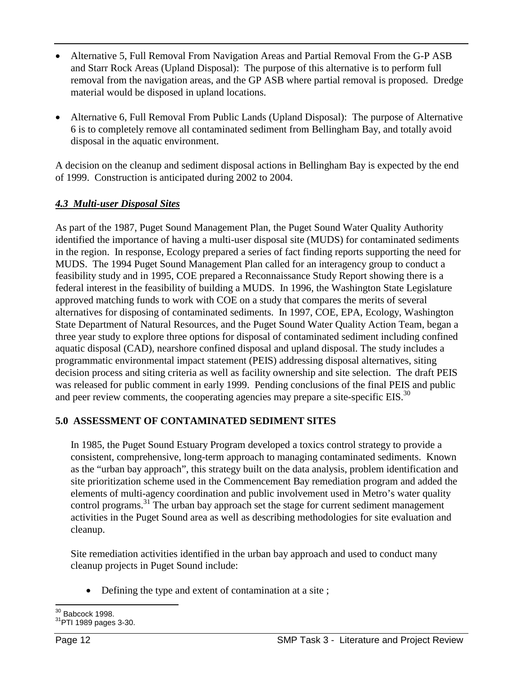- Alternative 5, Full Removal From Navigation Areas and Partial Removal From the G-P ASB and Starr Rock Areas (Upland Disposal): The purpose of this alternative is to perform full removal from the navigation areas, and the GP ASB where partial removal is proposed. Dredge material would be disposed in upland locations.
- Alternative 6, Full Removal From Public Lands (Upland Disposal): The purpose of Alternative 6 is to completely remove all contaminated sediment from Bellingham Bay, and totally avoid disposal in the aquatic environment.

A decision on the cleanup and sediment disposal actions in Bellingham Bay is expected by the end of 1999. Construction is anticipated during 2002 to 2004.

## *4.3 Multi-user Disposal Sites*

As part of the 1987, Puget Sound Management Plan, the Puget Sound Water Quality Authority identified the importance of having a multi-user disposal site (MUDS) for contaminated sediments in the region. In response, Ecology prepared a series of fact finding reports supporting the need for MUDS. The 1994 Puget Sound Management Plan called for an interagency group to conduct a feasibility study and in 1995, COE prepared a Reconnaissance Study Report showing there is a federal interest in the feasibility of building a MUDS. In 1996, the Washington State Legislature approved matching funds to work with COE on a study that compares the merits of several alternatives for disposing of contaminated sediments. In 1997, COE, EPA, Ecology, Washington State Department of Natural Resources, and the Puget Sound Water Quality Action Team, began a three year study to explore three options for disposal of contaminated sediment including confined aquatic disposal (CAD), nearshore confined disposal and upland disposal. The study includes a programmatic environmental impact statement (PEIS) addressing disposal alternatives, siting decision process and siting criteria as well as facility ownership and site selection. The draft PEIS was released for public comment in early 1999. Pending conclusions of the final PEIS and public and peer review comments, the cooperating agencies may prepare a site-specific EIS.<sup>30</sup>

#### **5.0 ASSESSMENT OF CONTAMINATED SEDIMENT SITES**

In 1985, the Puget Sound Estuary Program developed a toxics control strategy to provide a consistent, comprehensive, long-term approach to managing contaminated sediments. Known as the "urban bay approach", this strategy built on the data analysis, problem identification and site prioritization scheme used in the Commencement Bay remediation program and added the elements of multi-agency coordination and public involvement used in Metro's water quality control programs.<sup>31</sup> The urban bay approach set the stage for current sediment management activities in the Puget Sound area as well as describing methodologies for site evaluation and cleanup.

Site remediation activities identified in the urban bay approach and used to conduct many cleanup projects in Puget Sound include:

• Defining the type and extent of contamination at a site;

 $30$  Babcock 1998.

 $31$ PTI 1989 pages 3-30.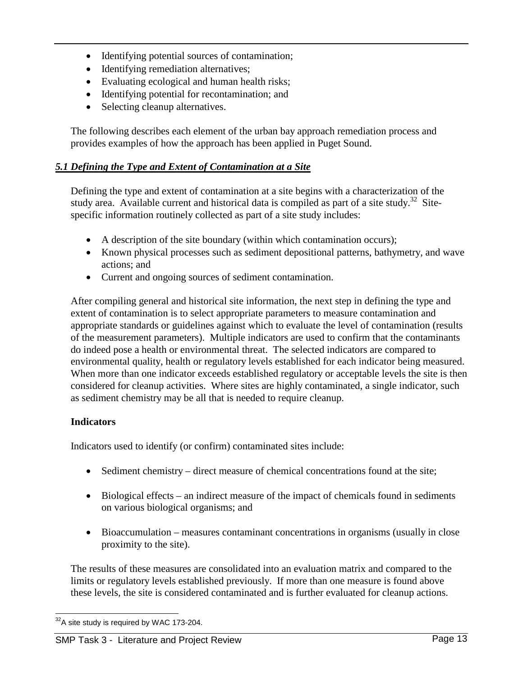- Identifying potential sources of contamination;
- Identifying remediation alternatives;
- Evaluating ecological and human health risks;
- Identifying potential for recontamination; and
- Selecting cleanup alternatives.

The following describes each element of the urban bay approach remediation process and provides examples of how the approach has been applied in Puget Sound.

#### *5.1 Defining the Type and Extent of Contamination at a Site*

Defining the type and extent of contamination at a site begins with a characterization of the study area. Available current and historical data is compiled as part of a site study.<sup>32</sup> Sitespecific information routinely collected as part of a site study includes:

- A description of the site boundary (within which contamination occurs);
- Known physical processes such as sediment depositional patterns, bathymetry, and wave actions; and
- Current and ongoing sources of sediment contamination.

After compiling general and historical site information, the next step in defining the type and extent of contamination is to select appropriate parameters to measure contamination and appropriate standards or guidelines against which to evaluate the level of contamination (results of the measurement parameters). Multiple indicators are used to confirm that the contaminants do indeed pose a health or environmental threat. The selected indicators are compared to environmental quality, health or regulatory levels established for each indicator being measured. When more than one indicator exceeds established regulatory or acceptable levels the site is then considered for cleanup activities. Where sites are highly contaminated, a single indicator, such as sediment chemistry may be all that is needed to require cleanup.

#### **Indicators**

Indicators used to identify (or confirm) contaminated sites include:

- Sediment chemistry direct measure of chemical concentrations found at the site;
- Biological effects an indirect measure of the impact of chemicals found in sediments on various biological organisms; and
- Bioaccumulation measures contaminant concentrations in organisms (usually in close proximity to the site).

The results of these measures are consolidated into an evaluation matrix and compared to the limits or regulatory levels established previously. If more than one measure is found above these levels, the site is considered contaminated and is further evaluated for cleanup actions.

 $\overline{a}$  $32A$  site study is required by WAC 173-204.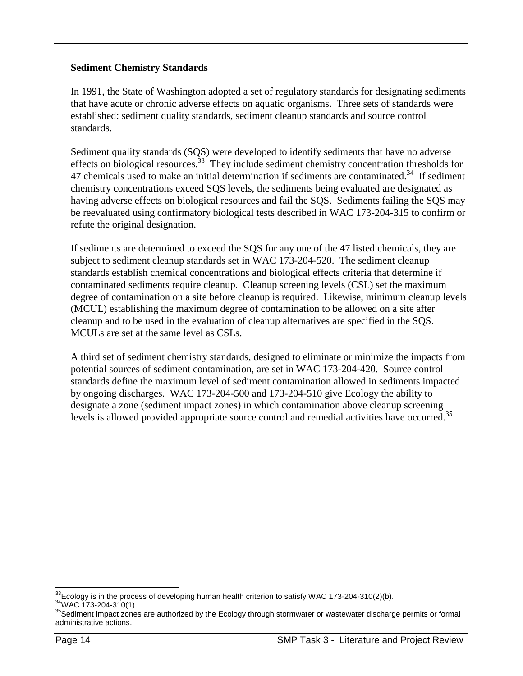#### **Sediment Chemistry Standards**

In 1991, the State of Washington adopted a set of regulatory standards for designating sediments that have acute or chronic adverse effects on aquatic organisms. Three sets of standards were established: sediment quality standards, sediment cleanup standards and source control standards.

Sediment quality standards (SQS) were developed to identify sediments that have no adverse effects on biological resources.<sup>33</sup> They include sediment chemistry concentration thresholds for 47 chemicals used to make an initial determination if sediments are contaminated.<sup>34</sup> If sediment chemistry concentrations exceed SQS levels, the sediments being evaluated are designated as having adverse effects on biological resources and fail the SQS. Sediments failing the SQS may be reevaluated using confirmatory biological tests described in WAC 173-204-315 to confirm or refute the original designation.

If sediments are determined to exceed the SQS for any one of the 47 listed chemicals, they are subject to sediment cleanup standards set in WAC 173-204-520. The sediment cleanup standards establish chemical concentrations and biological effects criteria that determine if contaminated sediments require cleanup. Cleanup screening levels (CSL) set the maximum degree of contamination on a site before cleanup is required. Likewise, minimum cleanup levels (MCUL) establishing the maximum degree of contamination to be allowed on a site after cleanup and to be used in the evaluation of cleanup alternatives are specified in the SQS. MCULs are set at the same level as CSLs.

A third set of sediment chemistry standards, designed to eliminate or minimize the impacts from potential sources of sediment contamination, are set in WAC 173-204-420. Source control standards define the maximum level of sediment contamination allowed in sediments impacted by ongoing discharges. WAC 173-204-500 and 173-204-510 give Ecology the ability to designate a zone (sediment impact zones) in which contamination above cleanup screening levels is allowed provided appropriate source control and remedial activities have occurred.<sup>35</sup>

 $\overline{a}$ <sup>33</sup>Ecology is in the process of developing human health criterion to satisfy WAC 173-204-310(2)(b).<br><sup>34</sup>WAC 173-204-310(1)<br><sup>35</sup>Sediment impact zones are authorized by the Ecology through stormwater or wastewater discharge

assediment impact zones are authorized by the Ecology through stormwater or wastewater discharge permits or formal<br>administrative actions.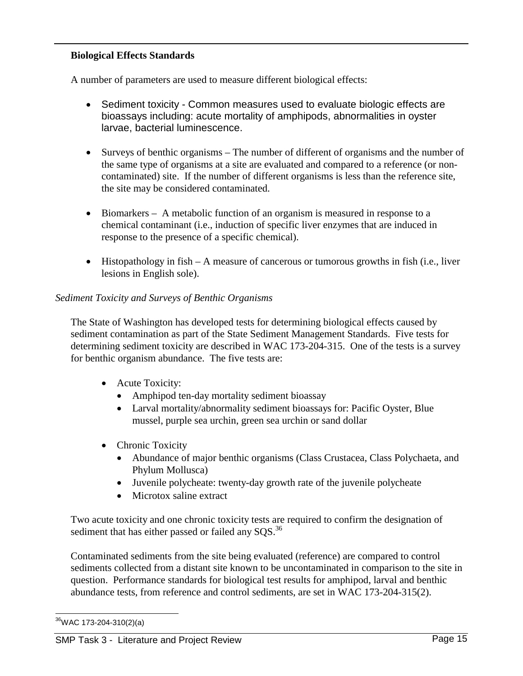#### **Biological Effects Standards**

A number of parameters are used to measure different biological effects:

- Sediment toxicity Common measures used to evaluate biologic effects are bioassays including: acute mortality of amphipods, abnormalities in oyster larvae, bacterial luminescence.
- Surveys of benthic organisms The number of different of organisms and the number of the same type of organisms at a site are evaluated and compared to a reference (or noncontaminated) site. If the number of different organisms is less than the reference site, the site may be considered contaminated.
- Biomarkers A metabolic function of an organism is measured in response to a chemical contaminant (i.e., induction of specific liver enzymes that are induced in response to the presence of a specific chemical).
- Histopathology in fish A measure of cancerous or tumorous growths in fish (i.e., liver lesions in English sole).

#### *Sediment Toxicity and Surveys of Benthic Organisms*

The State of Washington has developed tests for determining biological effects caused by sediment contamination as part of the State Sediment Management Standards. Five tests for determining sediment toxicity are described in WAC 173-204-315. One of the tests is a survey for benthic organism abundance. The five tests are:

- Acute Toxicity:
	- Amphipod ten-day mortality sediment bioassay
	- Larval mortality/abnormality sediment bioassays for: Pacific Oyster, Blue mussel, purple sea urchin, green sea urchin or sand dollar
- Chronic Toxicity
	- Abundance of major benthic organisms (Class Crustacea, Class Polychaeta, and Phylum Mollusca)
	- Juvenile polycheate: twenty-day growth rate of the juvenile polycheate
	- Microtox saline extract

Two acute toxicity and one chronic toxicity tests are required to confirm the designation of sediment that has either passed or failed any SQS.<sup>36</sup>

Contaminated sediments from the site being evaluated (reference) are compared to control sediments collected from a distant site known to be uncontaminated in comparison to the site in question. Performance standards for biological test results for amphipod, larval and benthic abundance tests, from reference and control sediments, are set in WAC 173-204-315(2).

 $\overline{a}$ 

<sup>&</sup>lt;sup>36</sup>WAC 173-204-310(2)(a)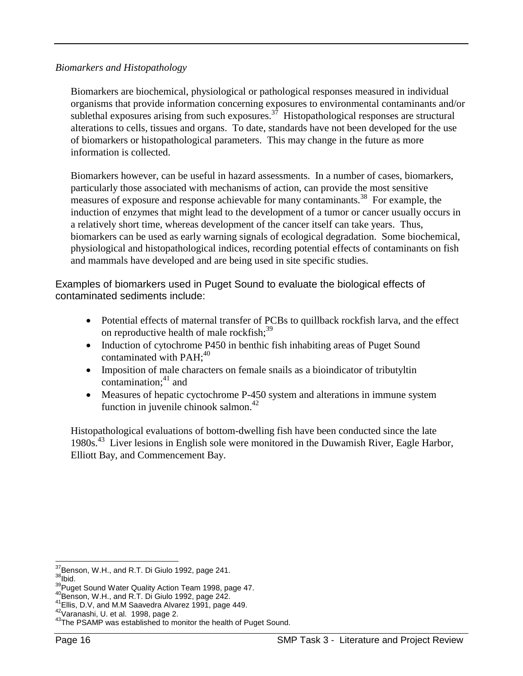#### *Biomarkers and Histopathology*

Biomarkers are biochemical, physiological or pathological responses measured in individual organisms that provide information concerning exposures to environmental contaminants and/or sublethal exposures arising from such exposures.<sup>37</sup> Histopathological responses are structural alterations to cells, tissues and organs. To date, standards have not been developed for the use of biomarkers or histopathological parameters. This may change in the future as more information is collected.

Biomarkers however, can be useful in hazard assessments. In a number of cases, biomarkers, particularly those associated with mechanisms of action, can provide the most sensitive measures of exposure and response achievable for many contaminants.<sup>38</sup> For example, the induction of enzymes that might lead to the development of a tumor or cancer usually occurs in a relatively short time, whereas development of the cancer itself can take years. Thus, biomarkers can be used as early warning signals of ecological degradation. Some biochemical, physiological and histopathological indices, recording potential effects of contaminants on fish and mammals have developed and are being used in site specific studies.

Examples of biomarkers used in Puget Sound to evaluate the biological effects of contaminated sediments include:

- Potential effects of maternal transfer of PCBs to quillback rockfish larva, and the effect on reproductive health of male rockfish;<sup>39</sup>
- Induction of cytochrome P450 in benthic fish inhabiting areas of Puget Sound contaminated with  $PAH$ ;<sup>40</sup>
- Imposition of male characters on female snails as a bioindicator of tributyltin contamination: $41$  and
- Measures of hepatic cyctochrome P-450 system and alterations in immune system function in juvenile chinook salmon.<sup>42</sup>

Histopathological evaluations of bottom-dwelling fish have been conducted since the late 1980s.43 Liver lesions in English sole were monitored in the Duwamish River, Eagle Harbor, Elliott Bay, and Commencement Bay.

<sup>&</sup>lt;sup>37</sup>Benson, W.H., and R.T. Di Giulo 1992, page 241.

<sup>&</sup>lt;sup>38</sup> bid.<br><sup>39</sup> puget Sound Water Quality Action Team 1998, page 47.<br><sup>40</sup> Benson, W.H., and R.T. Di Giulo 1992, page 242.<br><sup>42</sup> Varanashi, U. et al. 1998, page 2.<br><sup>42</sup> Varanashi, U. et al. 1998, page 2.<br><sup>43</sup> The PSAMP was e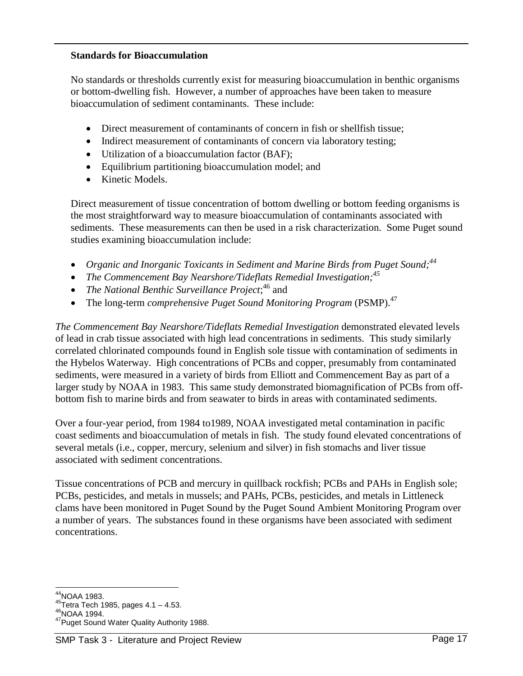#### **Standards for Bioaccumulation**

No standards or thresholds currently exist for measuring bioaccumulation in benthic organisms or bottom-dwelling fish. However, a number of approaches have been taken to measure bioaccumulation of sediment contaminants. These include:

- Direct measurement of contaminants of concern in fish or shellfish tissue;
- Indirect measurement of contaminants of concern via laboratory testing;
- Utilization of a bioaccumulation factor (BAF);
- Equilibrium partitioning bioaccumulation model; and
- Kinetic Models.

Direct measurement of tissue concentration of bottom dwelling or bottom feeding organisms is the most straightforward way to measure bioaccumulation of contaminants associated with sediments. These measurements can then be used in a risk characterization. Some Puget sound studies examining bioaccumulation include:

- *Organic and Inorganic Toxicants in Sediment and Marine Birds from Puget Sound;44*
- *The Commencement Bay Nearshore/Tideflats Remedial Investigation;*<sup>45</sup>
- *The National Benthic Surveillance Project*;<sup>46</sup> and
- The long-term *comprehensive Puget Sound Monitoring Program* (PSMP).<sup>47</sup>

*The Commencement Bay Nearshore/Tideflats Remedial Investigation* demonstrated elevated levels of lead in crab tissue associated with high lead concentrations in sediments. This study similarly correlated chlorinated compounds found in English sole tissue with contamination of sediments in the Hybelos Waterway. High concentrations of PCBs and copper, presumably from contaminated sediments, were measured in a variety of birds from Elliott and Commencement Bay as part of a larger study by NOAA in 1983. This same study demonstrated biomagnification of PCBs from offbottom fish to marine birds and from seawater to birds in areas with contaminated sediments.

Over a four-year period, from 1984 to1989, NOAA investigated metal contamination in pacific coast sediments and bioaccumulation of metals in fish. The study found elevated concentrations of several metals (i.e., copper, mercury, selenium and silver) in fish stomachs and liver tissue associated with sediment concentrations.

Tissue concentrations of PCB and mercury in quillback rockfish; PCBs and PAHs in English sole; PCBs, pesticides, and metals in mussels; and PAHs, PCBs, pesticides, and metals in Littleneck clams have been monitored in Puget Sound by the Puget Sound Ambient Monitoring Program over a number of years. The substances found in these organisms have been associated with sediment concentrations.

 $\overline{a}$ 

<sup>&</sup>lt;sup>44</sup>NOAA 1983.<br><sup>45</sup>Tetra Tech 1985, pages 4.1 – 4.53.<br><sup>46</sup>NOAA 1994.<br><sup>47</sup>Puget Sound Water Quality Authority 1988.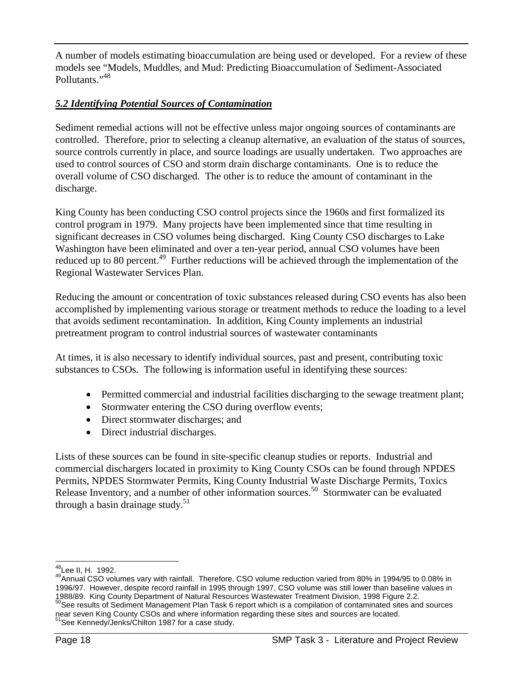A number of models estimating bioaccumulation are being used or developed. For a review of these models see "Models, Muddles, and Mud: Predicting Bioaccumulation of Sediment-Associated Pollutants."<sup>48</sup>

## *5.2 Identifying Potential Sources of Contamination*

Sediment remedial actions will not be effective unless major ongoing sources of contaminants are controlled. Therefore, prior to selecting a cleanup alternative, an evaluation of the status of sources, source controls currently in place, and source loadings are usually undertaken. Two approaches are used to control sources of CSO and storm drain discharge contaminants. One is to reduce the overall volume of CSO discharged. The other is to reduce the amount of contaminant in the discharge.

King County has been conducting CSO control projects since the 1960s and first formalized its control program in 1979. Many projects have been implemented since that time resulting in significant decreases in CSO volumes being discharged. King County CSO discharges to Lake Washington have been eliminated and over a ten-year period, annual CSO volumes have been reduced up to 80 percent.<sup>49</sup> Further reductions will be achieved through the implementation of the Regional Wastewater Services Plan.

Reducing the amount or concentration of toxic substances released during CSO events has also been accomplished by implementing various storage or treatment methods to reduce the loading to a level that avoids sediment recontamination. In addition, King County implements an industrial pretreatment program to control industrial sources of wastewater contaminants

At times, it is also necessary to identify individual sources, past and present, contributing toxic substances to CSOs. The following is information useful in identifying these sources:

- Permitted commercial and industrial facilities discharging to the sewage treatment plant;
- Stormwater entering the CSO during overflow events;
- Direct stormwater discharges; and
- Direct industrial discharges.

Lists of these sources can be found in site-specific cleanup studies or reports. Industrial and commercial dischargers located in proximity to King County CSOs can be found through NPDES Permits, NPDES Stormwater Permits, King County Industrial Waste Discharge Permits, Toxics Release Inventory, and a number of other information sources.<sup>50</sup> Stormwater can be evaluated through a basin drainage study.<sup>51</sup>

 $\overline{a}$ 

<sup>&</sup>lt;sup>48</sup>Lee II, H. 1992.<br><sup>49</sup>Annual CSO volumes vary with rainfall. Therefore, CSO volume reduction varied from 80% in 1994/95 to 0.08% in 1996/97. However, despite record rainfall in 1995 through 1997, CSO volume was still lower than baseline values in 1988/89. King County Department of Natural Resources Wastewater Treatment Division, 1998 Figure 2.2.

 $^9$ See results of Sediment Management Plan Task 6 report which is a compilation of contaminated sites and sources near seven King County CSOs and where information regarding these sites and sources are located. See Kennedy/Jenks/Chilton 1987 for a case study.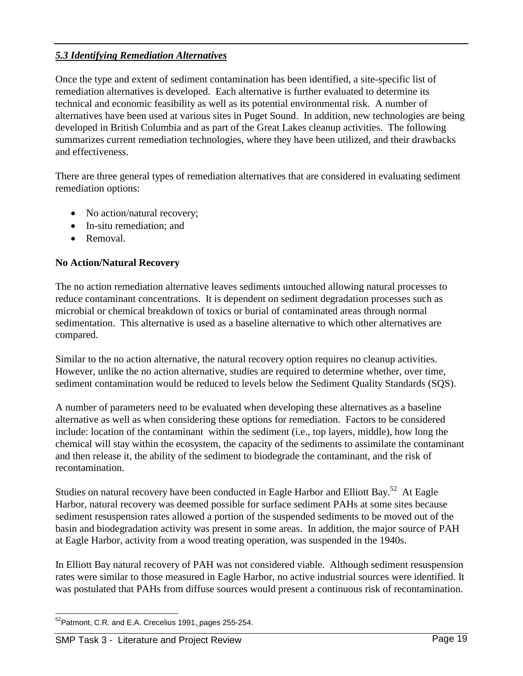#### *5.3 Identifying Remediation Alternatives*

Once the type and extent of sediment contamination has been identified, a site-specific list of remediation alternatives is developed. Each alternative is further evaluated to determine its technical and economic feasibility as well as its potential environmental risk. A number of alternatives have been used at various sites in Puget Sound. In addition, new technologies are being developed in British Columbia and as part of the Great Lakes cleanup activities. The following summarizes current remediation technologies, where they have been utilized, and their drawbacks and effectiveness.

There are three general types of remediation alternatives that are considered in evaluating sediment remediation options:

- No action/natural recovery;
- In-situ remediation; and
- Removal.

#### **No Action/Natural Recovery**

The no action remediation alternative leaves sediments untouched allowing natural processes to reduce contaminant concentrations. It is dependent on sediment degradation processes such as microbial or chemical breakdown of toxics or burial of contaminated areas through normal sedimentation. This alternative is used as a baseline alternative to which other alternatives are compared.

Similar to the no action alternative, the natural recovery option requires no cleanup activities. However, unlike the no action alternative, studies are required to determine whether, over time, sediment contamination would be reduced to levels below the Sediment Quality Standards (SQS).

A number of parameters need to be evaluated when developing these alternatives as a baseline alternative as well as when considering these options for remediation. Factors to be considered include: location of the contaminant within the sediment (i.e., top layers, middle), how long the chemical will stay within the ecosystem, the capacity of the sediments to assimilate the contaminant and then release it, the ability of the sediment to biodegrade the contaminant, and the risk of recontamination.

Studies on natural recovery have been conducted in Eagle Harbor and Elliott Bay.<sup>52</sup> At Eagle Harbor, natural recovery was deemed possible for surface sediment PAHs at some sites because sediment resuspension rates allowed a portion of the suspended sediments to be moved out of the basin and biodegradation activity was present in some areas. In addition, the major source of PAH at Eagle Harbor, activity from a wood treating operation, was suspended in the 1940s.

In Elliott Bay natural recovery of PAH was not considered viable. Although sediment resuspension rates were similar to those measured in Eagle Harbor, no active industrial sources were identified. It was postulated that PAHs from diffuse sources would present a continuous risk of recontamination.

 $\overline{a}$ <sup>52</sup> Patmont, C.R. and E.A. Crecelius 1991, pages 255-254.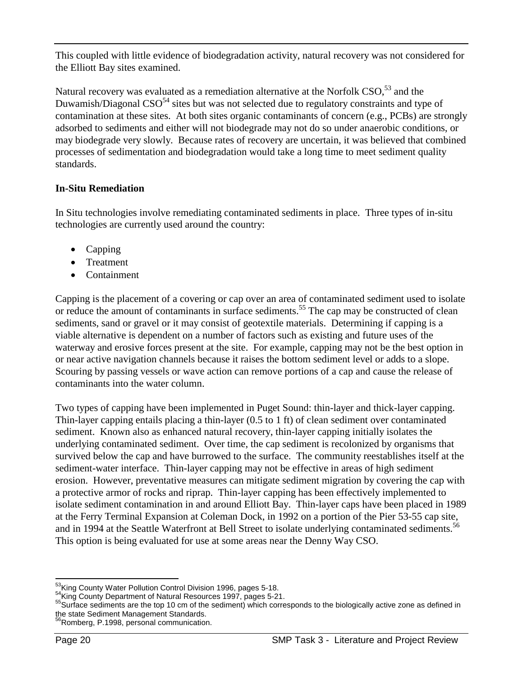This coupled with little evidence of biodegradation activity, natural recovery was not considered for the Elliott Bay sites examined.

Natural recovery was evaluated as a remediation alternative at the Norfolk CSO,<sup>53</sup> and the Duwamish/Diagonal  $CSO<sup>54</sup>$  sites but was not selected due to regulatory constraints and type of contamination at these sites. At both sites organic contaminants of concern (e.g., PCBs) are strongly adsorbed to sediments and either will not biodegrade may not do so under anaerobic conditions, or may biodegrade very slowly. Because rates of recovery are uncertain, it was believed that combined processes of sedimentation and biodegradation would take a long time to meet sediment quality standards.

#### **In-Situ Remediation**

In Situ technologies involve remediating contaminated sediments in place. Three types of in-situ technologies are currently used around the country:

- Capping
- Treatment
- Containment

Capping is the placement of a covering or cap over an area of contaminated sediment used to isolate or reduce the amount of contaminants in surface sediments.<sup>55</sup> The cap may be constructed of clean sediments, sand or gravel or it may consist of geotextile materials. Determining if capping is a viable alternative is dependent on a number of factors such as existing and future uses of the waterway and erosive forces present at the site. For example, capping may not be the best option in or near active navigation channels because it raises the bottom sediment level or adds to a slope. Scouring by passing vessels or wave action can remove portions of a cap and cause the release of contaminants into the water column.

Two types of capping have been implemented in Puget Sound: thin-layer and thick-layer capping. Thin-layer capping entails placing a thin-layer (0.5 to 1 ft) of clean sediment over contaminated sediment. Known also as enhanced natural recovery, thin-layer capping initially isolates the underlying contaminated sediment. Over time, the cap sediment is recolonized by organisms that survived below the cap and have burrowed to the surface. The community reestablishes itself at the sediment-water interface. Thin-layer capping may not be effective in areas of high sediment erosion. However, preventative measures can mitigate sediment migration by covering the cap with a protective armor of rocks and riprap. Thin-layer capping has been effectively implemented to isolate sediment contamination in and around Elliott Bay. Thin-layer caps have been placed in 1989 at the Ferry Terminal Expansion at Coleman Dock, in 1992 on a portion of the Pier 53-55 cap site, and in 1994 at the Seattle Waterfront at Bell Street to isolate underlying contaminated sediments.<sup>56</sup> This option is being evaluated for use at some areas near the Denny Way CSO.

Romberg, P.1998, personal communication.

<sup>&</sup>lt;sup>53</sup>King County Water Pollution Control Division 1996, pages 5-18.

<sup>&</sup>lt;sup>54</sup>King County Department of Natural Resources 1997, pages 5-21.<br><sup>55</sup>Surface sediments are the top 10 cm of the sediment) which corresponds to the biologically active zone as defined in the state Sediment Management Standards.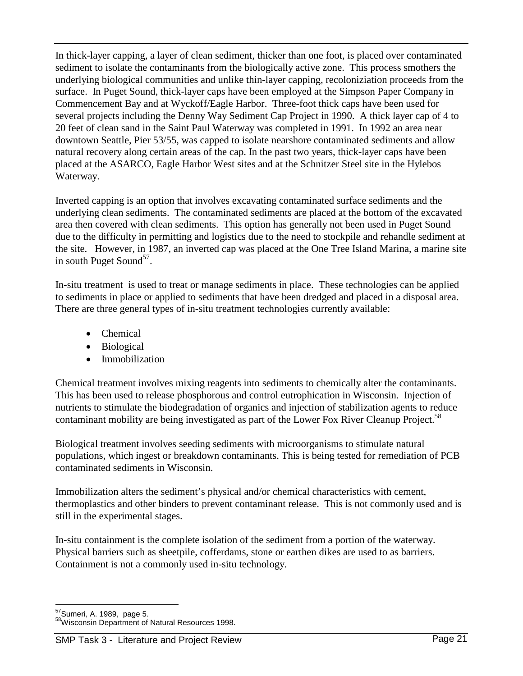In thick-layer capping, a layer of clean sediment, thicker than one foot, is placed over contaminated sediment to isolate the contaminants from the biologically active zone. This process smothers the underlying biological communities and unlike thin-layer capping, recoloniziation proceeds from the surface. In Puget Sound, thick-layer caps have been employed at the Simpson Paper Company in Commencement Bay and at Wyckoff/Eagle Harbor. Three-foot thick caps have been used for several projects including the Denny Way Sediment Cap Project in 1990. A thick layer cap of 4 to 20 feet of clean sand in the Saint Paul Waterway was completed in 1991. In 1992 an area near downtown Seattle, Pier 53/55, was capped to isolate nearshore contaminated sediments and allow natural recovery along certain areas of the cap. In the past two years, thick-layer caps have been placed at the ASARCO, Eagle Harbor West sites and at the Schnitzer Steel site in the Hylebos Waterway.

Inverted capping is an option that involves excavating contaminated surface sediments and the underlying clean sediments. The contaminated sediments are placed at the bottom of the excavated area then covered with clean sediments. This option has generally not been used in Puget Sound due to the difficulty in permitting and logistics due to the need to stockpile and rehandle sediment at the site. However, in 1987, an inverted cap was placed at the One Tree Island Marina, a marine site in south Puget Sound<sup>57</sup>.

In-situ treatment is used to treat or manage sediments in place. These technologies can be applied to sediments in place or applied to sediments that have been dredged and placed in a disposal area. There are three general types of in-situ treatment technologies currently available:

- Chemical
- Biological
- Immobilization

Chemical treatment involves mixing reagents into sediments to chemically alter the contaminants. This has been used to release phosphorous and control eutrophication in Wisconsin. Injection of nutrients to stimulate the biodegradation of organics and injection of stabilization agents to reduce contaminant mobility are being investigated as part of the Lower Fox River Cleanup Project.<sup>58</sup>

Biological treatment involves seeding sediments with microorganisms to stimulate natural populations, which ingest or breakdown contaminants. This is being tested for remediation of PCB contaminated sediments in Wisconsin.

Immobilization alters the sediment's physical and/or chemical characteristics with cement, thermoplastics and other binders to prevent contaminant release. This is not commonly used and is still in the experimental stages.

In-situ containment is the complete isolation of the sediment from a portion of the waterway. Physical barriers such as sheetpile, cofferdams, stone or earthen dikes are used to as barriers. Containment is not a commonly used in-situ technology.

<sup>&</sup>lt;sup>57</sup>Sumeri, A. 1989, page 5.

<sup>58</sup>Wisconsin Department of Natural Resources 1998.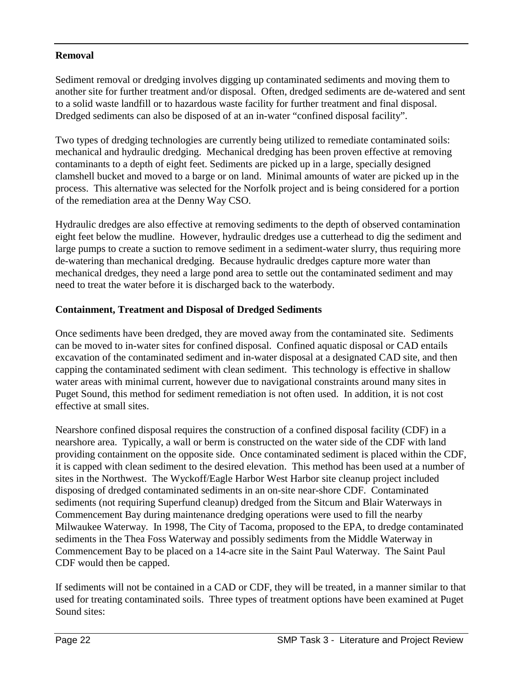#### **Removal**

Sediment removal or dredging involves digging up contaminated sediments and moving them to another site for further treatment and/or disposal. Often, dredged sediments are de-watered and sent to a solid waste landfill or to hazardous waste facility for further treatment and final disposal. Dredged sediments can also be disposed of at an in-water "confined disposal facility".

Two types of dredging technologies are currently being utilized to remediate contaminated soils: mechanical and hydraulic dredging. Mechanical dredging has been proven effective at removing contaminants to a depth of eight feet. Sediments are picked up in a large, specially designed clamshell bucket and moved to a barge or on land. Minimal amounts of water are picked up in the process. This alternative was selected for the Norfolk project and is being considered for a portion of the remediation area at the Denny Way CSO.

Hydraulic dredges are also effective at removing sediments to the depth of observed contamination eight feet below the mudline. However, hydraulic dredges use a cutterhead to dig the sediment and large pumps to create a suction to remove sediment in a sediment-water slurry, thus requiring more de-watering than mechanical dredging. Because hydraulic dredges capture more water than mechanical dredges, they need a large pond area to settle out the contaminated sediment and may need to treat the water before it is discharged back to the waterbody.

#### **Containment, Treatment and Disposal of Dredged Sediments**

Once sediments have been dredged, they are moved away from the contaminated site. Sediments can be moved to in-water sites for confined disposal. Confined aquatic disposal or CAD entails excavation of the contaminated sediment and in-water disposal at a designated CAD site, and then capping the contaminated sediment with clean sediment. This technology is effective in shallow water areas with minimal current, however due to navigational constraints around many sites in Puget Sound, this method for sediment remediation is not often used. In addition, it is not cost effective at small sites.

Nearshore confined disposal requires the construction of a confined disposal facility (CDF) in a nearshore area. Typically, a wall or berm is constructed on the water side of the CDF with land providing containment on the opposite side. Once contaminated sediment is placed within the CDF, it is capped with clean sediment to the desired elevation. This method has been used at a number of sites in the Northwest. The Wyckoff/Eagle Harbor West Harbor site cleanup project included disposing of dredged contaminated sediments in an on-site near-shore CDF. Contaminated sediments (not requiring Superfund cleanup) dredged from the Sitcum and Blair Waterways in Commencement Bay during maintenance dredging operations were used to fill the nearby Milwaukee Waterway. In 1998, The City of Tacoma, proposed to the EPA, to dredge contaminated sediments in the Thea Foss Waterway and possibly sediments from the Middle Waterway in Commencement Bay to be placed on a 14-acre site in the Saint Paul Waterway. The Saint Paul CDF would then be capped.

If sediments will not be contained in a CAD or CDF, they will be treated, in a manner similar to that used for treating contaminated soils. Three types of treatment options have been examined at Puget Sound sites: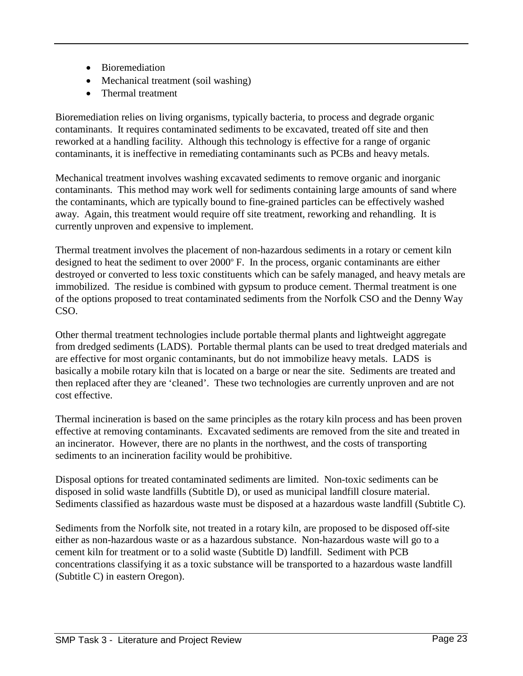- Bioremediation
- Mechanical treatment (soil washing)
- Thermal treatment

Bioremediation relies on living organisms, typically bacteria, to process and degrade organic contaminants. It requires contaminated sediments to be excavated, treated off site and then reworked at a handling facility. Although this technology is effective for a range of organic contaminants, it is ineffective in remediating contaminants such as PCBs and heavy metals.

Mechanical treatment involves washing excavated sediments to remove organic and inorganic contaminants. This method may work well for sediments containing large amounts of sand where the contaminants, which are typically bound to fine-grained particles can be effectively washed away. Again, this treatment would require off site treatment, reworking and rehandling. It is currently unproven and expensive to implement.

Thermal treatment involves the placement of non-hazardous sediments in a rotary or cement kiln designed to heat the sediment to over 2000° F. In the process, organic contaminants are either destroyed or converted to less toxic constituents which can be safely managed, and heavy metals are immobilized. The residue is combined with gypsum to produce cement. Thermal treatment is one of the options proposed to treat contaminated sediments from the Norfolk CSO and the Denny Way CSO.

Other thermal treatment technologies include portable thermal plants and lightweight aggregate from dredged sediments (LADS). Portable thermal plants can be used to treat dredged materials and are effective for most organic contaminants, but do not immobilize heavy metals. LADS is basically a mobile rotary kiln that is located on a barge or near the site. Sediments are treated and then replaced after they are 'cleaned'. These two technologies are currently unproven and are not cost effective.

Thermal incineration is based on the same principles as the rotary kiln process and has been proven effective at removing contaminants. Excavated sediments are removed from the site and treated in an incinerator. However, there are no plants in the northwest, and the costs of transporting sediments to an incineration facility would be prohibitive.

Disposal options for treated contaminated sediments are limited. Non-toxic sediments can be disposed in solid waste landfills (Subtitle D), or used as municipal landfill closure material. Sediments classified as hazardous waste must be disposed at a hazardous waste landfill (Subtitle C).

Sediments from the Norfolk site, not treated in a rotary kiln, are proposed to be disposed off-site either as non-hazardous waste or as a hazardous substance. Non-hazardous waste will go to a cement kiln for treatment or to a solid waste (Subtitle D) landfill. Sediment with PCB concentrations classifying it as a toxic substance will be transported to a hazardous waste landfill (Subtitle C) in eastern Oregon).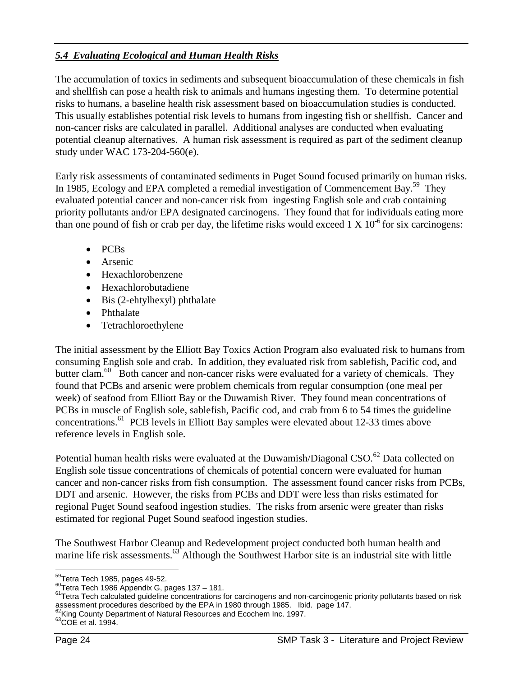### *5.4 Evaluating Ecological and Human Health Risks*

The accumulation of toxics in sediments and subsequent bioaccumulation of these chemicals in fish and shellfish can pose a health risk to animals and humans ingesting them. To determine potential risks to humans, a baseline health risk assessment based on bioaccumulation studies is conducted. This usually establishes potential risk levels to humans from ingesting fish or shellfish. Cancer and non-cancer risks are calculated in parallel. Additional analyses are conducted when evaluating potential cleanup alternatives. A human risk assessment is required as part of the sediment cleanup study under WAC 173-204-560(e).

Early risk assessments of contaminated sediments in Puget Sound focused primarily on human risks. In 1985, Ecology and EPA completed a remedial investigation of Commencement Bay.<sup>59</sup> They evaluated potential cancer and non-cancer risk from ingesting English sole and crab containing priority pollutants and/or EPA designated carcinogens. They found that for individuals eating more than one pound of fish or crab per day, the lifetime risks would exceed  $1 \times 10^{-6}$  for six carcinogens:

- PCBs
- Arsenic
- Hexachlorobenzene
- Hexachlorobutadiene
- Bis (2-ehtylhexyl) phthalate
- Phthalate
- Tetrachloroethylene

The initial assessment by the Elliott Bay Toxics Action Program also evaluated risk to humans from consuming English sole and crab. In addition, they evaluated risk from sablefish, Pacific cod, and butter clam.<sup>60</sup> Both cancer and non-cancer risks were evaluated for a variety of chemicals. They found that PCBs and arsenic were problem chemicals from regular consumption (one meal per week) of seafood from Elliott Bay or the Duwamish River. They found mean concentrations of PCBs in muscle of English sole, sablefish, Pacific cod, and crab from 6 to 54 times the guideline concentrations.61 PCB levels in Elliott Bay samples were elevated about 12-33 times above reference levels in English sole.

Potential human health risks were evaluated at the Duwamish/Diagonal CSO.<sup>62</sup> Data collected on English sole tissue concentrations of chemicals of potential concern were evaluated for human cancer and non-cancer risks from fish consumption. The assessment found cancer risks from PCBs, DDT and arsenic. However, the risks from PCBs and DDT were less than risks estimated for regional Puget Sound seafood ingestion studies. The risks from arsenic were greater than risks estimated for regional Puget Sound seafood ingestion studies.

The Southwest Harbor Cleanup and Redevelopment project conducted both human health and marine life risk assessments.<sup>63</sup> Although the Southwest Harbor site is an industrial site with little

<sup>&</sup>lt;sup>59</sup>Tetra Tech 1985, pages 49-52.

 $^{60}$ Tetra Tech 1986 Appendix G, pages 137 – 181.<br> $^{60}$ Tetra Tech 1986 Appendix G, pages 137 – 181.<br><sup>61</sup>Tetra Tech calculated guideline concentrations for carcinogens and non-carcinogenic priority pollutants based on ri assessment procedures described by the EPA in 1980 through 1985. Ibid. page 147.

 $^{62}$ King County Department of Natural Resources and Ecochem Inc. 1997.<br> $^{63}$ COE et al. 1994.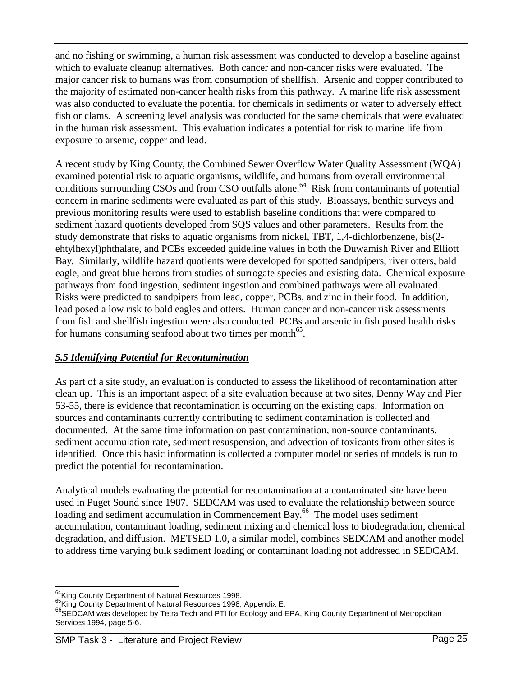and no fishing or swimming, a human risk assessment was conducted to develop a baseline against which to evaluate cleanup alternatives. Both cancer and non-cancer risks were evaluated. The major cancer risk to humans was from consumption of shellfish. Arsenic and copper contributed to the majority of estimated non-cancer health risks from this pathway. A marine life risk assessment was also conducted to evaluate the potential for chemicals in sediments or water to adversely effect fish or clams. A screening level analysis was conducted for the same chemicals that were evaluated in the human risk assessment. This evaluation indicates a potential for risk to marine life from exposure to arsenic, copper and lead.

A recent study by King County, the Combined Sewer Overflow Water Quality Assessment (WQA) examined potential risk to aquatic organisms, wildlife, and humans from overall environmental conditions surrounding CSOs and from CSO outfalls alone.<sup>64</sup> Risk from contaminants of potential concern in marine sediments were evaluated as part of this study. Bioassays, benthic surveys and previous monitoring results were used to establish baseline conditions that were compared to sediment hazard quotients developed from SQS values and other parameters. Results from the study demonstrate that risks to aquatic organisms from nickel, TBT, 1,4-dichlorbenzene, bis(2 ehtylhexyl)phthalate, and PCBs exceeded guideline values in both the Duwamish River and Elliott Bay. Similarly, wildlife hazard quotients were developed for spotted sandpipers, river otters, bald eagle, and great blue herons from studies of surrogate species and existing data. Chemical exposure pathways from food ingestion, sediment ingestion and combined pathways were all evaluated. Risks were predicted to sandpipers from lead, copper, PCBs, and zinc in their food. In addition, lead posed a low risk to bald eagles and otters. Human cancer and non-cancer risk assessments from fish and shellfish ingestion were also conducted. PCBs and arsenic in fish posed health risks for humans consuming seafood about two times per month<sup>65</sup>.

#### *5.5 Identifying Potential for Recontamination*

As part of a site study, an evaluation is conducted to assess the likelihood of recontamination after clean up. This is an important aspect of a site evaluation because at two sites, Denny Way and Pier 53-55, there is evidence that recontamination is occurring on the existing caps. Information on sources and contaminants currently contributing to sediment contamination is collected and documented. At the same time information on past contamination, non-source contaminants, sediment accumulation rate, sediment resuspension, and advection of toxicants from other sites is identified. Once this basic information is collected a computer model or series of models is run to predict the potential for recontamination.

Analytical models evaluating the potential for recontamination at a contaminated site have been used in Puget Sound since 1987. SEDCAM was used to evaluate the relationship between source loading and sediment accumulation in Commencement Bay.<sup>66</sup> The model uses sediment accumulation, contaminant loading, sediment mixing and chemical loss to biodegradation, chemical degradation, and diffusion. METSED 1.0, a similar model, combines SEDCAM and another model to address time varying bulk sediment loading or contaminant loading not addressed in SEDCAM.

<sup>&</sup>lt;sup>64</sup>Kina County Department of Natural Resources 1998.

<sup>65</sup>King County Department of Natural Resources 1998, Appendix E.<br><sup>65</sup>King County Department of Natural Resources 1998, Appendix E.<br><sup>66</sup>SEDCAM was developed by Tetra Tech and PTI for Ecology and EPA, King County Department o Services 1994, page 5-6.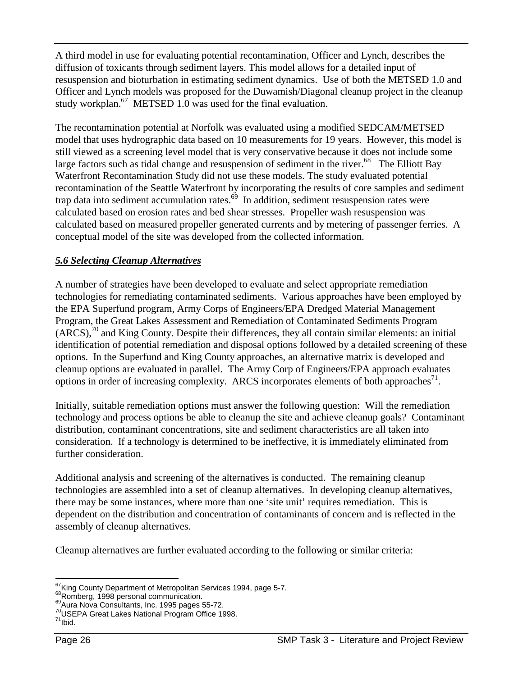A third model in use for evaluating potential recontamination, Officer and Lynch, describes the diffusion of toxicants through sediment layers. This model allows for a detailed input of resuspension and bioturbation in estimating sediment dynamics. Use of both the METSED 1.0 and Officer and Lynch models was proposed for the Duwamish/Diagonal cleanup project in the cleanup study workplan.<sup>67</sup> METSED 1.0 was used for the final evaluation.

The recontamination potential at Norfolk was evaluated using a modified SEDCAM/METSED model that uses hydrographic data based on 10 measurements for 19 years. However, this model is still viewed as a screening level model that is very conservative because it does not include some large factors such as tidal change and resuspension of sediment in the river.<sup>68</sup> The Elliott Bay Waterfront Recontamination Study did not use these models. The study evaluated potential recontamination of the Seattle Waterfront by incorporating the results of core samples and sediment trap data into sediment accumulation rates. $\frac{69}{9}$  In addition, sediment resuspension rates were calculated based on erosion rates and bed shear stresses. Propeller wash resuspension was calculated based on measured propeller generated currents and by metering of passenger ferries. A conceptual model of the site was developed from the collected information.

#### *5.6 Selecting Cleanup Alternatives*

A number of strategies have been developed to evaluate and select appropriate remediation technologies for remediating contaminated sediments. Various approaches have been employed by the EPA Superfund program, Army Corps of Engineers/EPA Dredged Material Management Program, the Great Lakes Assessment and Remediation of Contaminated Sediments Program  $(ARCS)$ ,  $\frac{70}{10}$  and King County. Despite their differences, they all contain similar elements: an initial identification of potential remediation and disposal options followed by a detailed screening of these options. In the Superfund and King County approaches, an alternative matrix is developed and cleanup options are evaluated in parallel. The Army Corp of Engineers/EPA approach evaluates options in order of increasing complexity. ARCS incorporates elements of both approaches $^{71}$ .

Initially, suitable remediation options must answer the following question: Will the remediation technology and process options be able to cleanup the site and achieve cleanup goals? Contaminant distribution, contaminant concentrations, site and sediment characteristics are all taken into consideration. If a technology is determined to be ineffective, it is immediately eliminated from further consideration.

Additional analysis and screening of the alternatives is conducted. The remaining cleanup technologies are assembled into a set of cleanup alternatives. In developing cleanup alternatives, there may be some instances, where more than one 'site unit' requires remediation. This is dependent on the distribution and concentration of contaminants of concern and is reflected in the assembly of cleanup alternatives.

Cleanup alternatives are further evaluated according to the following or similar criteria:

<sup>&</sup>lt;sup>67</sup> King County Department of Metropolitan Services 1994, page 5-7.

 $68$ Romberg, 1998 personal communication.  $69$ <br> $69$ Aura Nova Consultants, Inc. 1995 pages 55-72.  $70$ <br>USEPA Great Lakes National Program Office 1998.  $71$ <br> $1$ bid.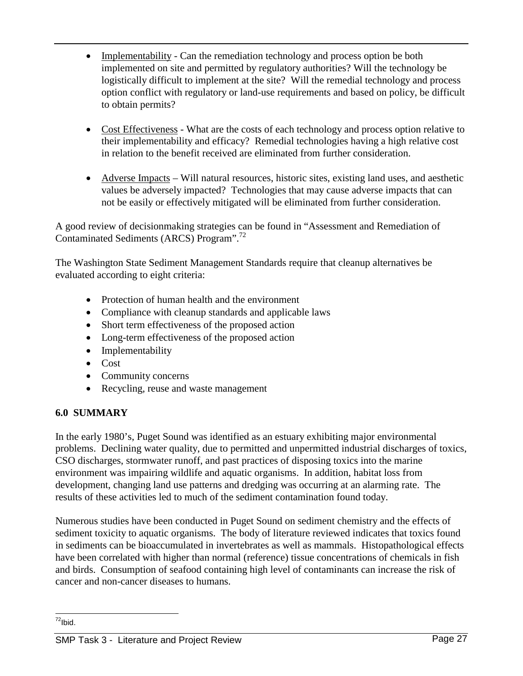- Implementability Can the remediation technology and process option be both implemented on site and permitted by regulatory authorities? Will the technology be logistically difficult to implement at the site? Will the remedial technology and process option conflict with regulatory or land-use requirements and based on policy, be difficult to obtain permits?
- Cost Effectiveness What are the costs of each technology and process option relative to their implementability and efficacy? Remedial technologies having a high relative cost in relation to the benefit received are eliminated from further consideration.
- Adverse Impacts Will natural resources, historic sites, existing land uses, and aesthetic values be adversely impacted? Technologies that may cause adverse impacts that can not be easily or effectively mitigated will be eliminated from further consideration.

A good review of decisionmaking strategies can be found in "Assessment and Remediation of Contaminated Sediments (ARCS) Program". 72

The Washington State Sediment Management Standards require that cleanup alternatives be evaluated according to eight criteria:

- Protection of human health and the environment
- Compliance with cleanup standards and applicable laws
- Short term effectiveness of the proposed action
- Long-term effectiveness of the proposed action
- Implementability
- $\bullet$  Cost
- Community concerns
- Recycling, reuse and waste management

## **6.0 SUMMARY**

In the early 1980's, Puget Sound was identified as an estuary exhibiting major environmental problems. Declining water quality, due to permitted and unpermitted industrial discharges of toxics, CSO discharges, stormwater runoff, and past practices of disposing toxics into the marine environment was impairing wildlife and aquatic organisms. In addition, habitat loss from development, changing land use patterns and dredging was occurring at an alarming rate. The results of these activities led to much of the sediment contamination found today.

Numerous studies have been conducted in Puget Sound on sediment chemistry and the effects of sediment toxicity to aquatic organisms. The body of literature reviewed indicates that toxics found in sediments can be bioaccumulated in invertebrates as well as mammals. Histopathological effects have been correlated with higher than normal (reference) tissue concentrations of chemicals in fish and birds. Consumption of seafood containing high level of contaminants can increase the risk of cancer and non-cancer diseases to humans.

 $\overline{a}$  $72$ Ibid.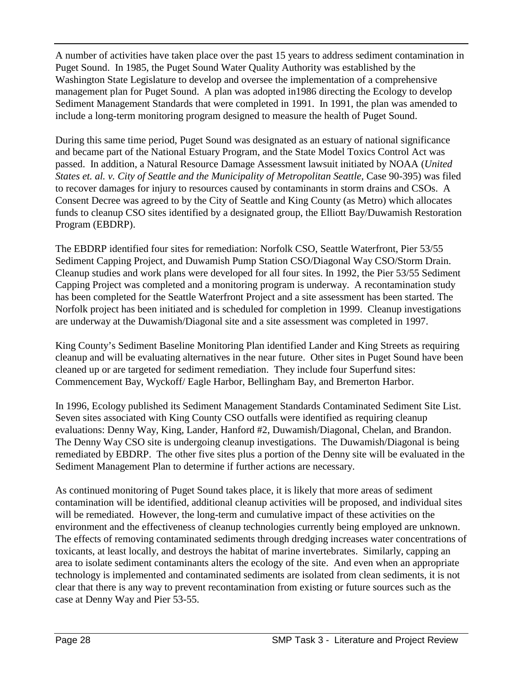A number of activities have taken place over the past 15 years to address sediment contamination in Puget Sound. In 1985, the Puget Sound Water Quality Authority was established by the Washington State Legislature to develop and oversee the implementation of a comprehensive management plan for Puget Sound. A plan was adopted in1986 directing the Ecology to develop Sediment Management Standards that were completed in 1991. In 1991, the plan was amended to include a long-term monitoring program designed to measure the health of Puget Sound.

During this same time period, Puget Sound was designated as an estuary of national significance and became part of the National Estuary Program, and the State Model Toxics Control Act was passed. In addition, a Natural Resource Damage Assessment lawsuit initiated by NOAA (*United States et. al. v. City of Seattle and the Municipality of Metropolitan Seattle*, Case 90-395) was filed to recover damages for injury to resources caused by contaminants in storm drains and CSOs. A Consent Decree was agreed to by the City of Seattle and King County (as Metro) which allocates funds to cleanup CSO sites identified by a designated group, the Elliott Bay/Duwamish Restoration Program (EBDRP).

The EBDRP identified four sites for remediation: Norfolk CSO, Seattle Waterfront, Pier 53/55 Sediment Capping Project, and Duwamish Pump Station CSO/Diagonal Way CSO/Storm Drain. Cleanup studies and work plans were developed for all four sites. In 1992, the Pier 53/55 Sediment Capping Project was completed and a monitoring program is underway. A recontamination study has been completed for the Seattle Waterfront Project and a site assessment has been started. The Norfolk project has been initiated and is scheduled for completion in 1999. Cleanup investigations are underway at the Duwamish/Diagonal site and a site assessment was completed in 1997.

King County's Sediment Baseline Monitoring Plan identified Lander and King Streets as requiring cleanup and will be evaluating alternatives in the near future. Other sites in Puget Sound have been cleaned up or are targeted for sediment remediation. They include four Superfund sites: Commencement Bay, Wyckoff/ Eagle Harbor, Bellingham Bay, and Bremerton Harbor.

In 1996, Ecology published its Sediment Management Standards Contaminated Sediment Site List. Seven sites associated with King County CSO outfalls were identified as requiring cleanup evaluations: Denny Way, King, Lander, Hanford #2, Duwamish/Diagonal, Chelan, and Brandon. The Denny Way CSO site is undergoing cleanup investigations. The Duwamish/Diagonal is being remediated by EBDRP. The other five sites plus a portion of the Denny site will be evaluated in the Sediment Management Plan to determine if further actions are necessary.

As continued monitoring of Puget Sound takes place, it is likely that more areas of sediment contamination will be identified, additional cleanup activities will be proposed, and individual sites will be remediated. However, the long-term and cumulative impact of these activities on the environment and the effectiveness of cleanup technologies currently being employed are unknown. The effects of removing contaminated sediments through dredging increases water concentrations of toxicants, at least locally, and destroys the habitat of marine invertebrates. Similarly, capping an area to isolate sediment contaminants alters the ecology of the site. And even when an appropriate technology is implemented and contaminated sediments are isolated from clean sediments, it is not clear that there is any way to prevent recontamination from existing or future sources such as the case at Denny Way and Pier 53-55.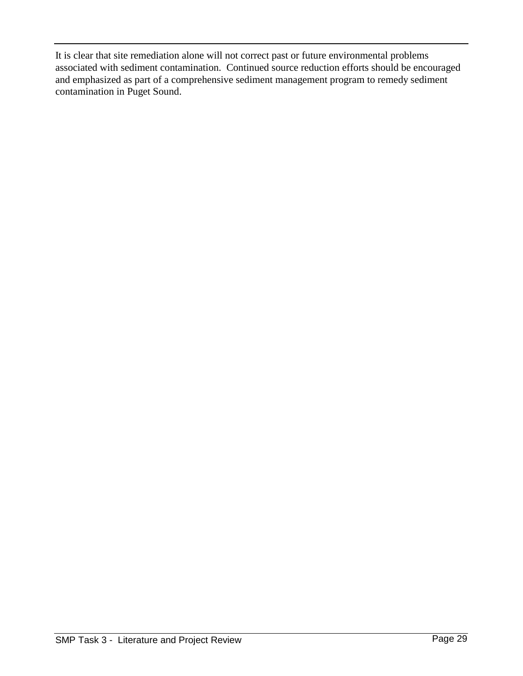It is clear that site remediation alone will not correct past or future environmental problems associated with sediment contamination. Continued source reduction efforts should be encouraged and emphasized as part of a comprehensive sediment management program to remedy sediment contamination in Puget Sound.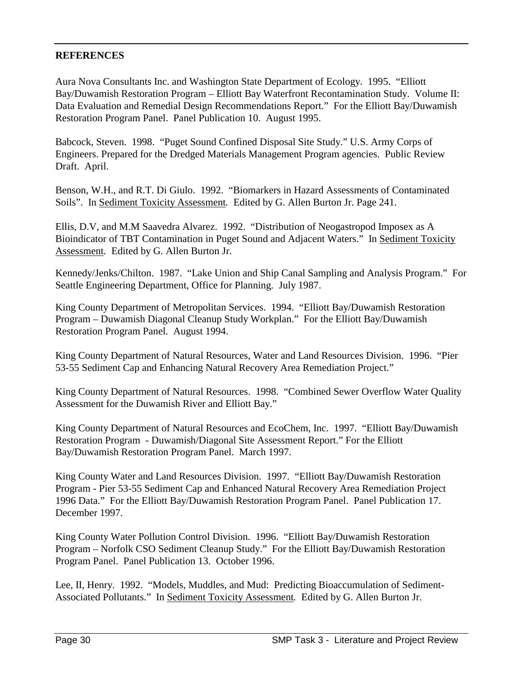#### **REFERENCES**

Aura Nova Consultants Inc. and Washington State Department of Ecology. 1995. "Elliott Bay/Duwamish Restoration Program – Elliott Bay Waterfront Recontamination Study. Volume II: Data Evaluation and Remedial Design Recommendations Report." For the Elliott Bay/Duwamish Restoration Program Panel. Panel Publication 10. August 1995.

Babcock, Steven. 1998. "Puget Sound Confined Disposal Site Study." U.S. Army Corps of Engineers. Prepared for the Dredged Materials Management Program agencies. Public Review Draft. April.

Benson, W.H., and R.T. Di Giulo. 1992. "Biomarkers in Hazard Assessments of Contaminated Soils". In Sediment Toxicity Assessment*.* Edited by G. Allen Burton Jr. Page 241.

Ellis, D.V, and M.M Saavedra Alvarez. 1992. "Distribution of Neogastropod Imposex as A Bioindicator of TBT Contamination in Puget Sound and Adjacent Waters." In Sediment Toxicity Assessment*.* Edited by G. Allen Burton Jr.

Kennedy/Jenks/Chilton. 1987. "Lake Union and Ship Canal Sampling and Analysis Program." For Seattle Engineering Department, Office for Planning. July 1987.

King County Department of Metropolitan Services. 1994. "Elliott Bay/Duwamish Restoration Program – Duwamish Diagonal Cleanup Study Workplan." For the Elliott Bay/Duwamish Restoration Program Panel. August 1994.

King County Department of Natural Resources, Water and Land Resources Division. 1996. "Pier 53-55 Sediment Cap and Enhancing Natural Recovery Area Remediation Project."

King County Department of Natural Resources. 1998. "Combined Sewer Overflow Water Quality Assessment for the Duwamish River and Elliott Bay."

King County Department of Natural Resources and EcoChem, Inc. 1997. "Elliott Bay/Duwamish Restoration Program - Duwamish/Diagonal Site Assessment Report." For the Elliott Bay/Duwamish Restoration Program Panel. March 1997.

King County Water and Land Resources Division. 1997. "Elliott Bay/Duwamish Restoration Program - Pier 53-55 Sediment Cap and Enhanced Natural Recovery Area Remediation Project 1996 Data." For the Elliott Bay/Duwamish Restoration Program Panel. Panel Publication 17. December 1997.

King County Water Pollution Control Division. 1996. "Elliott Bay/Duwamish Restoration Program – Norfolk CSO Sediment Cleanup Study." For the Elliott Bay/Duwamish Restoration Program Panel. Panel Publication 13. October 1996.

Lee, II, Henry. 1992. "Models, Muddles, and Mud: Predicting Bioaccumulation of Sediment-Associated Pollutants." In Sediment Toxicity Assessment*.* Edited by G. Allen Burton Jr.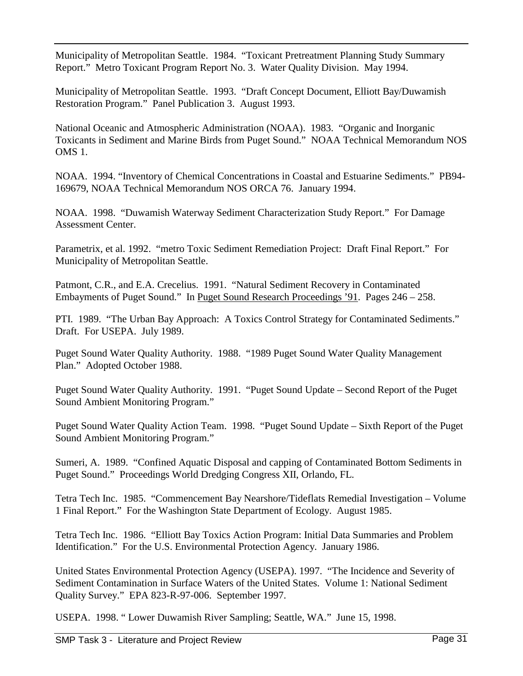Municipality of Metropolitan Seattle. 1984. "Toxicant Pretreatment Planning Study Summary Report." Metro Toxicant Program Report No. 3. Water Quality Division. May 1994.

Municipality of Metropolitan Seattle. 1993. "Draft Concept Document, Elliott Bay/Duwamish Restoration Program." Panel Publication 3. August 1993.

National Oceanic and Atmospheric Administration (NOAA). 1983. "Organic and Inorganic Toxicants in Sediment and Marine Birds from Puget Sound." NOAA Technical Memorandum NOS OMS 1.

NOAA. 1994. "Inventory of Chemical Concentrations in Coastal and Estuarine Sediments." PB94- 169679, NOAA Technical Memorandum NOS ORCA 76. January 1994.

NOAA. 1998. "Duwamish Waterway Sediment Characterization Study Report." For Damage Assessment Center.

Parametrix, et al. 1992. "metro Toxic Sediment Remediation Project: Draft Final Report." For Municipality of Metropolitan Seattle.

Patmont, C.R., and E.A. Crecelius. 1991. "Natural Sediment Recovery in Contaminated Embayments of Puget Sound." In Puget Sound Research Proceedings '91. Pages 246 – 258.

PTI. 1989. "The Urban Bay Approach: A Toxics Control Strategy for Contaminated Sediments." Draft. For USEPA. July 1989.

Puget Sound Water Quality Authority. 1988. "1989 Puget Sound Water Quality Management Plan." Adopted October 1988.

Puget Sound Water Quality Authority. 1991. "Puget Sound Update – Second Report of the Puget Sound Ambient Monitoring Program."

Puget Sound Water Quality Action Team. 1998. "Puget Sound Update – Sixth Report of the Puget Sound Ambient Monitoring Program."

Sumeri, A. 1989. "Confined Aquatic Disposal and capping of Contaminated Bottom Sediments in Puget Sound." Proceedings World Dredging Congress XII, Orlando, FL.

Tetra Tech Inc. 1985. "Commencement Bay Nearshore/Tideflats Remedial Investigation – Volume 1 Final Report." For the Washington State Department of Ecology. August 1985.

Tetra Tech Inc. 1986. "Elliott Bay Toxics Action Program: Initial Data Summaries and Problem Identification." For the U.S. Environmental Protection Agency. January 1986.

United States Environmental Protection Agency (USEPA). 1997. "The Incidence and Severity of Sediment Contamination in Surface Waters of the United States. Volume 1: National Sediment Quality Survey." EPA 823-R-97-006. September 1997.

USEPA. 1998. " Lower Duwamish River Sampling; Seattle, WA." June 15, 1998.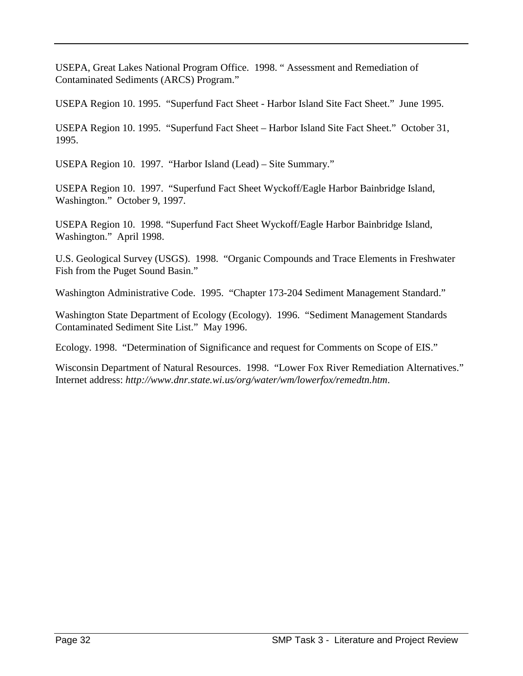USEPA, Great Lakes National Program Office. 1998. " Assessment and Remediation of Contaminated Sediments (ARCS) Program."

USEPA Region 10. 1995. "Superfund Fact Sheet - Harbor Island Site Fact Sheet." June 1995.

USEPA Region 10. 1995. "Superfund Fact Sheet – Harbor Island Site Fact Sheet." October 31, 1995.

USEPA Region 10. 1997. "Harbor Island (Lead) – Site Summary."

USEPA Region 10. 1997. "Superfund Fact Sheet Wyckoff/Eagle Harbor Bainbridge Island, Washington." October 9, 1997.

USEPA Region 10. 1998. "Superfund Fact Sheet Wyckoff/Eagle Harbor Bainbridge Island, Washington." April 1998.

U.S. Geological Survey (USGS). 1998. "Organic Compounds and Trace Elements in Freshwater Fish from the Puget Sound Basin."

Washington Administrative Code. 1995. "Chapter 173-204 Sediment Management Standard."

Washington State Department of Ecology (Ecology). 1996. "Sediment Management Standards Contaminated Sediment Site List." May 1996.

Ecology. 1998. "Determination of Significance and request for Comments on Scope of EIS."

Wisconsin Department of Natural Resources. 1998. "Lower Fox River Remediation Alternatives." Internet address: *http://www.dnr.state.wi.us/org/water/wm/lowerfox/remedtn.htm*.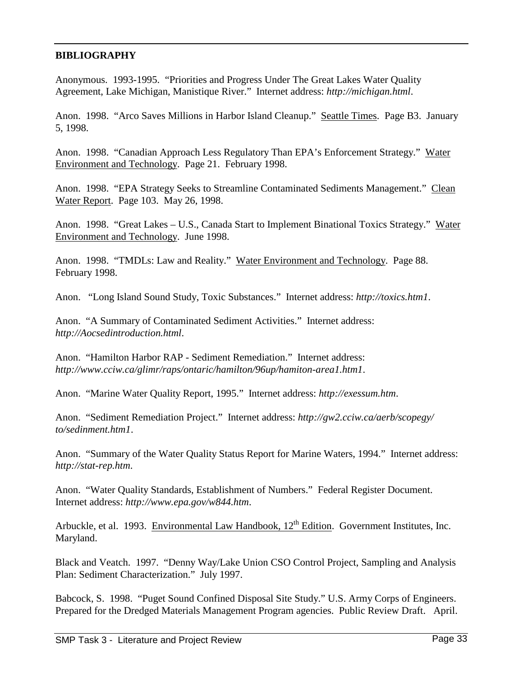#### **BIBLIOGRAPHY**

Anonymous. 1993-1995. "Priorities and Progress Under The Great Lakes Water Quality Agreement, Lake Michigan, Manistique River." Internet address: *http://michigan.html*.

Anon. 1998. "Arco Saves Millions in Harbor Island Cleanup." Seattle Times. Page B3. January 5, 1998.

Anon. 1998. "Canadian Approach Less Regulatory Than EPA's Enforcement Strategy." Water Environment and Technology. Page 21. February 1998.

Anon. 1998. "EPA Strategy Seeks to Streamline Contaminated Sediments Management." Clean Water Report. Page 103. May 26, 1998.

Anon. 1998. "Great Lakes - U.S., Canada Start to Implement Binational Toxics Strategy." Water Environment and Technology. June 1998.

Anon. 1998. "TMDLs: Law and Reality." Water Environment and Technology. Page 88. February 1998.

Anon. "Long Island Sound Study, Toxic Substances." Internet address: *http://toxics.htm1*.

Anon. "A Summary of Contaminated Sediment Activities." Internet address: *http://Aocsedintroduction.html*.

Anon. "Hamilton Harbor RAP - Sediment Remediation." Internet address: *http://www.cciw.ca/glimr/raps/ontaric/hamilton/96up/hamiton-area1.htm1*.

Anon. "Marine Water Quality Report, 1995." Internet address: *http://exessum.htm*.

Anon. "Sediment Remediation Project." Internet address: *http://gw2.cciw.ca/aerb/scopegy/ to/sedinment.htm1*.

Anon. "Summary of the Water Quality Status Report for Marine Waters, 1994." Internet address: *http://stat-rep.htm*.

Anon. "Water Quality Standards, Establishment of Numbers." Federal Register Document. Internet address: *http://www.epa.gov/w844.htm*.

Arbuckle, et al. 1993. Environmental Law Handbook, 12<sup>th</sup> Edition. Government Institutes, Inc. Maryland.

Black and Veatch. 1997. "Denny Way/Lake Union CSO Control Project, Sampling and Analysis Plan: Sediment Characterization." July 1997.

Babcock, S. 1998. "Puget Sound Confined Disposal Site Study." U.S. Army Corps of Engineers. Prepared for the Dredged Materials Management Program agencies. Public Review Draft. April.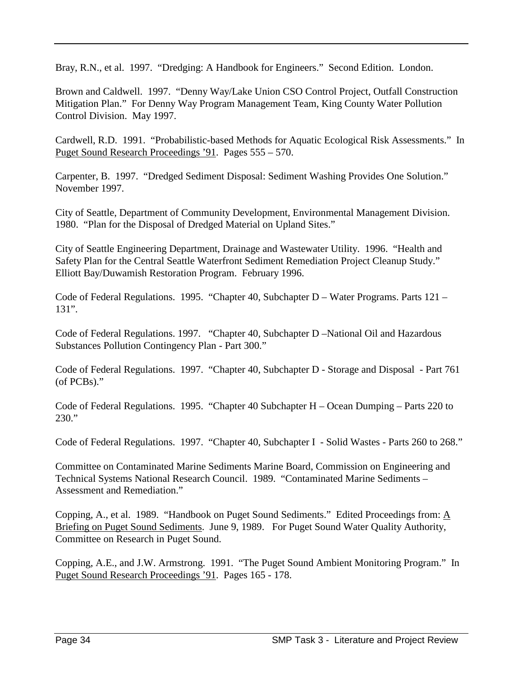Bray, R.N., et al. 1997. "Dredging: A Handbook for Engineers." Second Edition. London.

Brown and Caldwell. 1997. "Denny Way/Lake Union CSO Control Project, Outfall Construction Mitigation Plan." For Denny Way Program Management Team, King County Water Pollution Control Division. May 1997.

Cardwell, R.D. 1991. "Probabilistic-based Methods for Aquatic Ecological Risk Assessments." In Puget Sound Research Proceedings '91. Pages 555 – 570.

Carpenter, B. 1997. "Dredged Sediment Disposal: Sediment Washing Provides One Solution." November 1997.

City of Seattle, Department of Community Development, Environmental Management Division. 1980. "Plan for the Disposal of Dredged Material on Upland Sites."

City of Seattle Engineering Department, Drainage and Wastewater Utility. 1996. "Health and Safety Plan for the Central Seattle Waterfront Sediment Remediation Project Cleanup Study." Elliott Bay/Duwamish Restoration Program. February 1996.

Code of Federal Regulations. 1995. "Chapter 40, Subchapter D – Water Programs. Parts 121 – 131".

Code of Federal Regulations. 1997. "Chapter 40, Subchapter D –National Oil and Hazardous Substances Pollution Contingency Plan - Part 300."

Code of Federal Regulations. 1997. "Chapter 40, Subchapter D - Storage and Disposal - Part 761 (of PCBs)."

Code of Federal Regulations. 1995. "Chapter 40 Subchapter H – Ocean Dumping – Parts 220 to 230."

Code of Federal Regulations. 1997. "Chapter 40, Subchapter I - Solid Wastes - Parts 260 to 268."

Committee on Contaminated Marine Sediments Marine Board, Commission on Engineering and Technical Systems National Research Council. 1989. "Contaminated Marine Sediments – Assessment and Remediation."

Copping, A., et al. 1989. "Handbook on Puget Sound Sediments." Edited Proceedings from: A Briefing on Puget Sound Sediments. June 9, 1989. For Puget Sound Water Quality Authority, Committee on Research in Puget Sound.

Copping, A.E., and J.W. Armstrong. 1991. "The Puget Sound Ambient Monitoring Program." In Puget Sound Research Proceedings '91. Pages 165 - 178.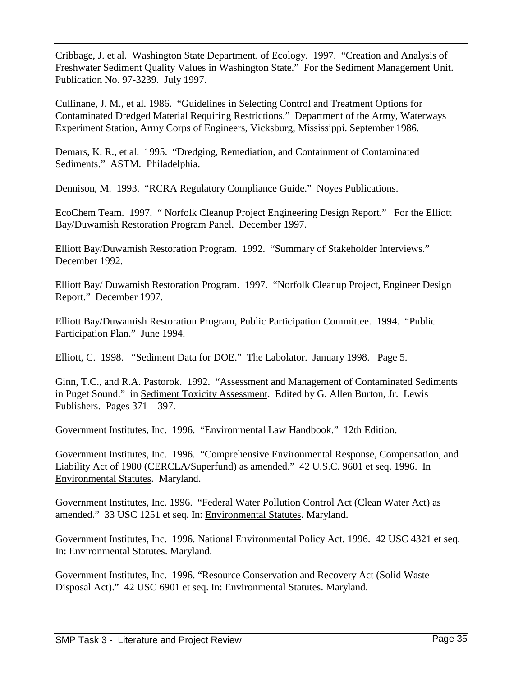Cribbage, J. et al. Washington State Department. of Ecology. 1997. "Creation and Analysis of Freshwater Sediment Quality Values in Washington State." For the Sediment Management Unit. Publication No. 97-3239. July 1997.

Cullinane, J. M., et al. 1986. "Guidelines in Selecting Control and Treatment Options for Contaminated Dredged Material Requiring Restrictions." Department of the Army, Waterways Experiment Station, Army Corps of Engineers, Vicksburg, Mississippi. September 1986.

Demars, K. R., et al. 1995. "Dredging, Remediation, and Containment of Contaminated Sediments." ASTM. Philadelphia.

Dennison, M. 1993. "RCRA Regulatory Compliance Guide." Noyes Publications.

EcoChem Team. 1997. " Norfolk Cleanup Project Engineering Design Report." For the Elliott Bay/Duwamish Restoration Program Panel. December 1997.

Elliott Bay/Duwamish Restoration Program. 1992. "Summary of Stakeholder Interviews." December 1992.

Elliott Bay/ Duwamish Restoration Program. 1997. "Norfolk Cleanup Project, Engineer Design Report." December 1997.

Elliott Bay/Duwamish Restoration Program, Public Participation Committee. 1994. "Public Participation Plan." June 1994.

Elliott, C. 1998. "Sediment Data for DOE." The Labolator. January 1998. Page 5.

Ginn, T.C., and R.A. Pastorok. 1992. "Assessment and Management of Contaminated Sediments in Puget Sound." in Sediment Toxicity Assessment. Edited by G. Allen Burton, Jr. Lewis Publishers. Pages 371 – 397.

Government Institutes, Inc. 1996. "Environmental Law Handbook." 12th Edition.

Government Institutes, Inc. 1996. "Comprehensive Environmental Response, Compensation, and Liability Act of 1980 (CERCLA/Superfund) as amended." 42 U.S.C. 9601 et seq. 1996. In Environmental Statutes. Maryland.

Government Institutes, Inc. 1996. "Federal Water Pollution Control Act (Clean Water Act) as amended." 33 USC 1251 et seq. In: Environmental Statutes. Maryland.

Government Institutes, Inc. 1996. National Environmental Policy Act. 1996. 42 USC 4321 et seq. In: Environmental Statutes. Maryland.

Government Institutes, Inc. 1996. "Resource Conservation and Recovery Act (Solid Waste Disposal Act)." 42 USC 6901 et seq. In: Environmental Statutes. Maryland.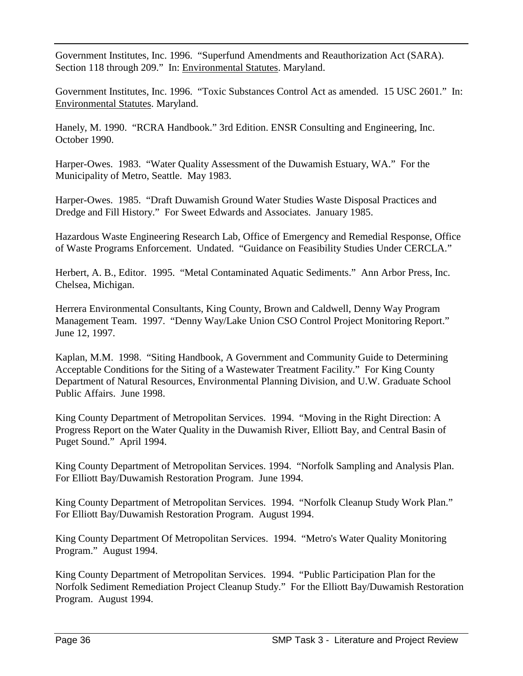Government Institutes, Inc. 1996. "Superfund Amendments and Reauthorization Act (SARA). Section 118 through 209." In: Environmental Statutes. Maryland.

Government Institutes, Inc. 1996. "Toxic Substances Control Act as amended. 15 USC 2601." In: Environmental Statutes. Maryland.

Hanely, M. 1990. "RCRA Handbook." 3rd Edition. ENSR Consulting and Engineering, Inc. October 1990.

Harper-Owes. 1983. "Water Quality Assessment of the Duwamish Estuary, WA." For the Municipality of Metro, Seattle. May 1983.

Harper-Owes. 1985. "Draft Duwamish Ground Water Studies Waste Disposal Practices and Dredge and Fill History." For Sweet Edwards and Associates. January 1985.

Hazardous Waste Engineering Research Lab, Office of Emergency and Remedial Response, Office of Waste Programs Enforcement. Undated. "Guidance on Feasibility Studies Under CERCLA."

Herbert, A. B., Editor. 1995. "Metal Contaminated Aquatic Sediments." Ann Arbor Press, Inc. Chelsea, Michigan.

Herrera Environmental Consultants, King County, Brown and Caldwell, Denny Way Program Management Team. 1997. "Denny Way/Lake Union CSO Control Project Monitoring Report." June 12, 1997.

Kaplan, M.M. 1998. "Siting Handbook, A Government and Community Guide to Determining Acceptable Conditions for the Siting of a Wastewater Treatment Facility." For King County Department of Natural Resources, Environmental Planning Division, and U.W. Graduate School Public Affairs. June 1998.

King County Department of Metropolitan Services. 1994. "Moving in the Right Direction: A Progress Report on the Water Quality in the Duwamish River, Elliott Bay, and Central Basin of Puget Sound." April 1994.

King County Department of Metropolitan Services. 1994. "Norfolk Sampling and Analysis Plan. For Elliott Bay/Duwamish Restoration Program. June 1994.

King County Department of Metropolitan Services. 1994. "Norfolk Cleanup Study Work Plan." For Elliott Bay/Duwamish Restoration Program. August 1994.

King County Department Of Metropolitan Services. 1994. "Metro's Water Quality Monitoring Program." August 1994.

King County Department of Metropolitan Services. 1994. "Public Participation Plan for the Norfolk Sediment Remediation Project Cleanup Study." For the Elliott Bay/Duwamish Restoration Program. August 1994.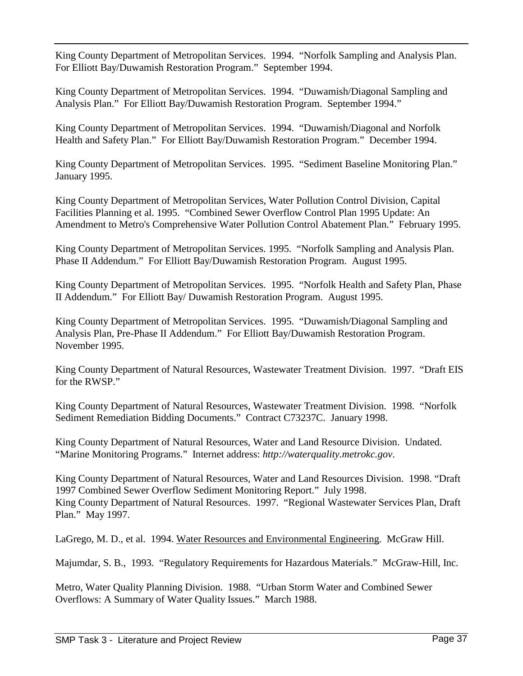King County Department of Metropolitan Services. 1994. "Norfolk Sampling and Analysis Plan. For Elliott Bay/Duwamish Restoration Program." September 1994.

King County Department of Metropolitan Services. 1994. "Duwamish/Diagonal Sampling and Analysis Plan." For Elliott Bay/Duwamish Restoration Program. September 1994."

King County Department of Metropolitan Services. 1994. "Duwamish/Diagonal and Norfolk Health and Safety Plan." For Elliott Bay/Duwamish Restoration Program." December 1994.

King County Department of Metropolitan Services. 1995. "Sediment Baseline Monitoring Plan." January 1995.

King County Department of Metropolitan Services, Water Pollution Control Division, Capital Facilities Planning et al. 1995. "Combined Sewer Overflow Control Plan 1995 Update: An Amendment to Metro's Comprehensive Water Pollution Control Abatement Plan." February 1995.

King County Department of Metropolitan Services. 1995. "Norfolk Sampling and Analysis Plan. Phase II Addendum." For Elliott Bay/Duwamish Restoration Program. August 1995.

King County Department of Metropolitan Services. 1995. "Norfolk Health and Safety Plan, Phase II Addendum." For Elliott Bay/ Duwamish Restoration Program. August 1995.

King County Department of Metropolitan Services. 1995. "Duwamish/Diagonal Sampling and Analysis Plan, Pre-Phase II Addendum." For Elliott Bay/Duwamish Restoration Program. November 1995.

King County Department of Natural Resources, Wastewater Treatment Division. 1997. "Draft EIS for the RWSP."

King County Department of Natural Resources, Wastewater Treatment Division. 1998. "Norfolk Sediment Remediation Bidding Documents." Contract C73237C. January 1998.

King County Department of Natural Resources, Water and Land Resource Division. Undated. "Marine Monitoring Programs." Internet address: *http://waterquality.metrokc.gov*.

King County Department of Natural Resources, Water and Land Resources Division. 1998. "Draft 1997 Combined Sewer Overflow Sediment Monitoring Report." July 1998. King County Department of Natural Resources. 1997. "Regional Wastewater Services Plan, Draft Plan." May 1997.

LaGrego, M. D., et al. 1994. Water Resources and Environmental Engineering. McGraw Hill.

Majumdar, S. B., 1993. "Regulatory Requirements for Hazardous Materials." McGraw-Hill, Inc.

Metro, Water Quality Planning Division. 1988. "Urban Storm Water and Combined Sewer Overflows: A Summary of Water Quality Issues." March 1988.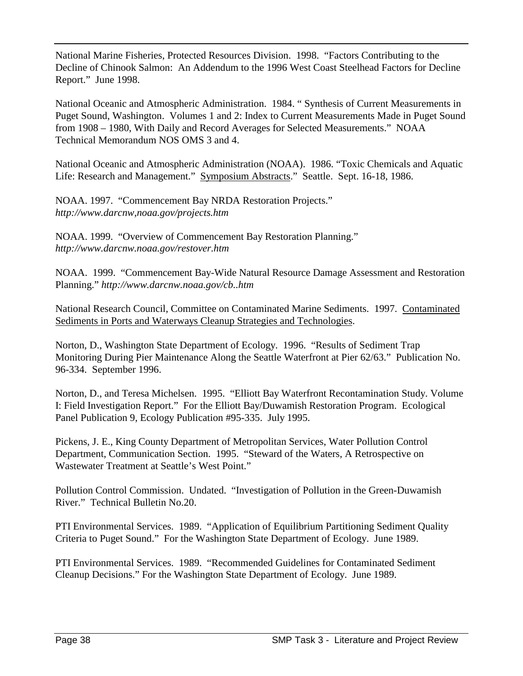National Marine Fisheries, Protected Resources Division. 1998. "Factors Contributing to the Decline of Chinook Salmon: An Addendum to the 1996 West Coast Steelhead Factors for Decline Report." June 1998.

National Oceanic and Atmospheric Administration. 1984. " Synthesis of Current Measurements in Puget Sound, Washington. Volumes 1 and 2: Index to Current Measurements Made in Puget Sound from 1908 – 1980, With Daily and Record Averages for Selected Measurements." NOAA Technical Memorandum NOS OMS 3 and 4.

National Oceanic and Atmospheric Administration (NOAA). 1986. "Toxic Chemicals and Aquatic Life: Research and Management." Symposium Abstracts." Seattle. Sept. 16-18, 1986.

NOAA. 1997. "Commencement Bay NRDA Restoration Projects." *http://www.darcnw,noaa.gov/projects.htm*

NOAA. 1999. "Overview of Commencement Bay Restoration Planning." *http://www.darcnw.noaa.gov/restover.htm*

NOAA. 1999. "Commencement Bay-Wide Natural Resource Damage Assessment and Restoration Planning." *http://www.darcnw.noaa.gov/cb..htm*

National Research Council, Committee on Contaminated Marine Sediments. 1997. Contaminated Sediments in Ports and Waterways Cleanup Strategies and Technologies.

Norton, D., Washington State Department of Ecology. 1996. "Results of Sediment Trap Monitoring During Pier Maintenance Along the Seattle Waterfront at Pier 62/63." Publication No. 96-334. September 1996.

Norton, D., and Teresa Michelsen. 1995. "Elliott Bay Waterfront Recontamination Study. Volume I: Field Investigation Report." For the Elliott Bay/Duwamish Restoration Program. Ecological Panel Publication 9, Ecology Publication #95-335. July 1995.

Pickens, J. E., King County Department of Metropolitan Services, Water Pollution Control Department, Communication Section. 1995. "Steward of the Waters, A Retrospective on Wastewater Treatment at Seattle's West Point."

Pollution Control Commission. Undated. "Investigation of Pollution in the Green-Duwamish River." Technical Bulletin No.20.

PTI Environmental Services. 1989. "Application of Equilibrium Partitioning Sediment Quality Criteria to Puget Sound." For the Washington State Department of Ecology. June 1989.

PTI Environmental Services. 1989. "Recommended Guidelines for Contaminated Sediment Cleanup Decisions." For the Washington State Department of Ecology. June 1989.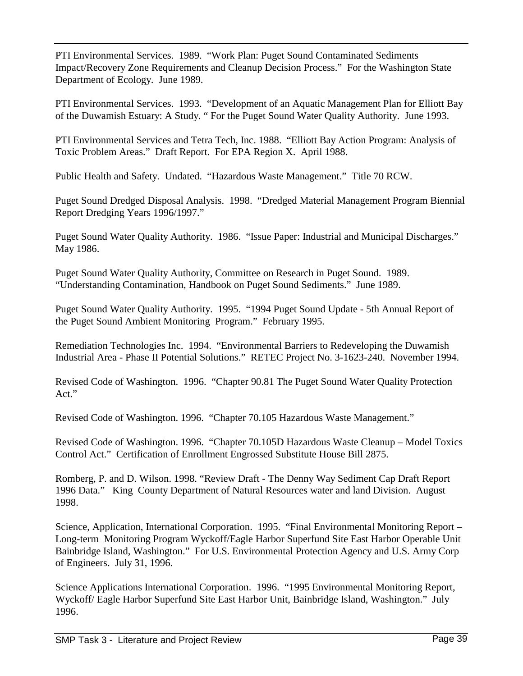PTI Environmental Services. 1989. "Work Plan: Puget Sound Contaminated Sediments Impact/Recovery Zone Requirements and Cleanup Decision Process." For the Washington State Department of Ecology. June 1989.

PTI Environmental Services. 1993. "Development of an Aquatic Management Plan for Elliott Bay of the Duwamish Estuary: A Study. " For the Puget Sound Water Quality Authority. June 1993.

PTI Environmental Services and Tetra Tech, Inc. 1988. "Elliott Bay Action Program: Analysis of Toxic Problem Areas." Draft Report. For EPA Region X. April 1988.

Public Health and Safety. Undated. "Hazardous Waste Management." Title 70 RCW.

Puget Sound Dredged Disposal Analysis. 1998. "Dredged Material Management Program Biennial Report Dredging Years 1996/1997."

Puget Sound Water Quality Authority. 1986. "Issue Paper: Industrial and Municipal Discharges." May 1986.

Puget Sound Water Quality Authority, Committee on Research in Puget Sound. 1989. "Understanding Contamination, Handbook on Puget Sound Sediments." June 1989.

Puget Sound Water Quality Authority. 1995. "1994 Puget Sound Update - 5th Annual Report of the Puget Sound Ambient Monitoring Program." February 1995.

Remediation Technologies Inc. 1994. "Environmental Barriers to Redeveloping the Duwamish Industrial Area - Phase II Potential Solutions." RETEC Project No. 3-1623-240. November 1994.

Revised Code of Washington. 1996. "Chapter 90.81 The Puget Sound Water Quality Protection Act."

Revised Code of Washington. 1996. "Chapter 70.105 Hazardous Waste Management."

Revised Code of Washington. 1996. "Chapter 70.105D Hazardous Waste Cleanup – Model Toxics Control Act." Certification of Enrollment Engrossed Substitute House Bill 2875.

Romberg, P. and D. Wilson. 1998. "Review Draft - The Denny Way Sediment Cap Draft Report 1996 Data." King County Department of Natural Resources water and land Division. August 1998.

Science, Application, International Corporation. 1995. "Final Environmental Monitoring Report – Long-term Monitoring Program Wyckoff/Eagle Harbor Superfund Site East Harbor Operable Unit Bainbridge Island, Washington." For U.S. Environmental Protection Agency and U.S. Army Corp of Engineers. July 31, 1996.

Science Applications International Corporation. 1996. "1995 Environmental Monitoring Report, Wyckoff/ Eagle Harbor Superfund Site East Harbor Unit, Bainbridge Island, Washington." July 1996.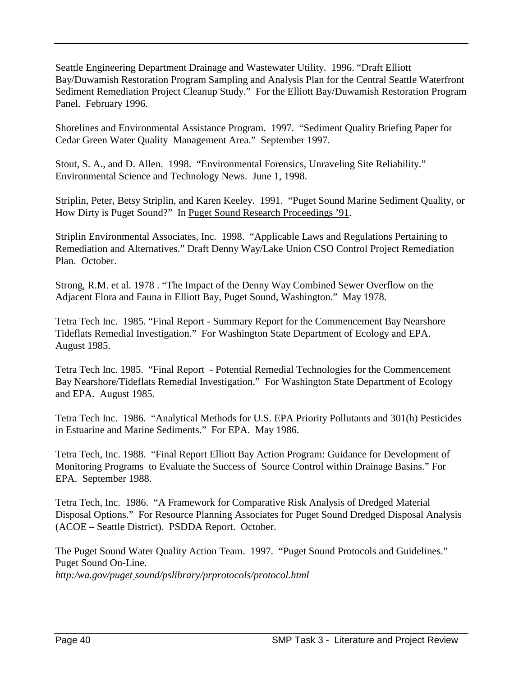Seattle Engineering Department Drainage and Wastewater Utility. 1996. "Draft Elliott Bay/Duwamish Restoration Program Sampling and Analysis Plan for the Central Seattle Waterfront Sediment Remediation Project Cleanup Study." For the Elliott Bay/Duwamish Restoration Program Panel. February 1996.

Shorelines and Environmental Assistance Program. 1997. "Sediment Quality Briefing Paper for Cedar Green Water Quality Management Area." September 1997.

Stout, S. A., and D. Allen. 1998. "Environmental Forensics, Unraveling Site Reliability." Environmental Science and Technology News. June 1, 1998.

Striplin, Peter, Betsy Striplin, and Karen Keeley. 1991. "Puget Sound Marine Sediment Quality, or How Dirty is Puget Sound?" In Puget Sound Research Proceedings '91.

Striplin Environmental Associates, Inc. 1998. "Applicable Laws and Regulations Pertaining to Remediation and Alternatives." Draft Denny Way/Lake Union CSO Control Project Remediation Plan. October.

Strong, R.M. et al. 1978 . "The Impact of the Denny Way Combined Sewer Overflow on the Adjacent Flora and Fauna in Elliott Bay, Puget Sound, Washington." May 1978.

Tetra Tech Inc. 1985. "Final Report - Summary Report for the Commencement Bay Nearshore Tideflats Remedial Investigation." For Washington State Department of Ecology and EPA. August 1985.

Tetra Tech Inc. 1985. "Final Report - Potential Remedial Technologies for the Commencement Bay Nearshore/Tideflats Remedial Investigation." For Washington State Department of Ecology and EPA. August 1985.

Tetra Tech Inc. 1986. "Analytical Methods for U.S. EPA Priority Pollutants and 301(h) Pesticides in Estuarine and Marine Sediments." For EPA. May 1986.

Tetra Tech, Inc. 1988. "Final Report Elliott Bay Action Program: Guidance for Development of Monitoring Programs to Evaluate the Success of Source Control within Drainage Basins." For EPA. September 1988.

Tetra Tech, Inc. 1986. "A Framework for Comparative Risk Analysis of Dredged Material Disposal Options." For Resource Planning Associates for Puget Sound Dredged Disposal Analysis (ACOE – Seattle District). PSDDA Report. October.

The Puget Sound Water Quality Action Team. 1997. "Puget Sound Protocols and Guidelines." Puget Sound On-Line. *http:/wa.gov/puget sound/pslibrary/prprotocols/protocol.html*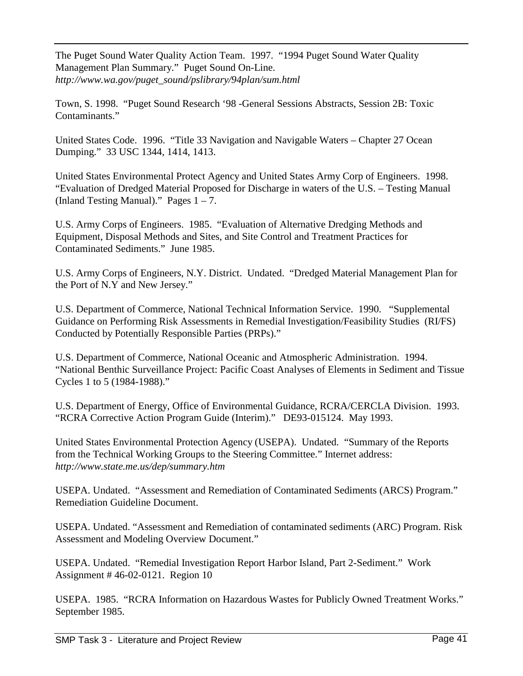The Puget Sound Water Quality Action Team. 1997. "1994 Puget Sound Water Quality Management Plan Summary." Puget Sound On-Line. *http://www.wa.gov/puget\_sound/pslibrary/94plan/sum.html*

Town, S. 1998. "Puget Sound Research '98 -General Sessions Abstracts, Session 2B: Toxic Contaminants."

United States Code. 1996. "Title 33 Navigation and Navigable Waters – Chapter 27 Ocean Dumping." 33 USC 1344, 1414, 1413.

United States Environmental Protect Agency and United States Army Corp of Engineers. 1998. "Evaluation of Dredged Material Proposed for Discharge in waters of the U.S. – Testing Manual (Inland Testing Manual)." Pages  $1 - 7$ .

U.S. Army Corps of Engineers. 1985. "Evaluation of Alternative Dredging Methods and Equipment, Disposal Methods and Sites, and Site Control and Treatment Practices for Contaminated Sediments." June 1985.

U.S. Army Corps of Engineers, N.Y. District. Undated. "Dredged Material Management Plan for the Port of N.Y and New Jersey."

U.S. Department of Commerce, National Technical Information Service. 1990. "Supplemental Guidance on Performing Risk Assessments in Remedial Investigation/Feasibility Studies (RI/FS) Conducted by Potentially Responsible Parties (PRPs)."

U.S. Department of Commerce, National Oceanic and Atmospheric Administration. 1994. "National Benthic Surveillance Project: Pacific Coast Analyses of Elements in Sediment and Tissue Cycles 1 to 5 (1984-1988)."

U.S. Department of Energy, Office of Environmental Guidance, RCRA/CERCLA Division. 1993. "RCRA Corrective Action Program Guide (Interim)." DE93-015124. May 1993.

United States Environmental Protection Agency (USEPA). Undated. "Summary of the Reports from the Technical Working Groups to the Steering Committee." Internet address: *http://www.state.me.us/dep/summary.htm*

USEPA. Undated. "Assessment and Remediation of Contaminated Sediments (ARCS) Program." Remediation Guideline Document.

USEPA. Undated. "Assessment and Remediation of contaminated sediments (ARC) Program. Risk Assessment and Modeling Overview Document."

USEPA. Undated. "Remedial Investigation Report Harbor Island, Part 2-Sediment." Work Assignment # 46-02-0121. Region 10

USEPA. 1985. "RCRA Information on Hazardous Wastes for Publicly Owned Treatment Works." September 1985.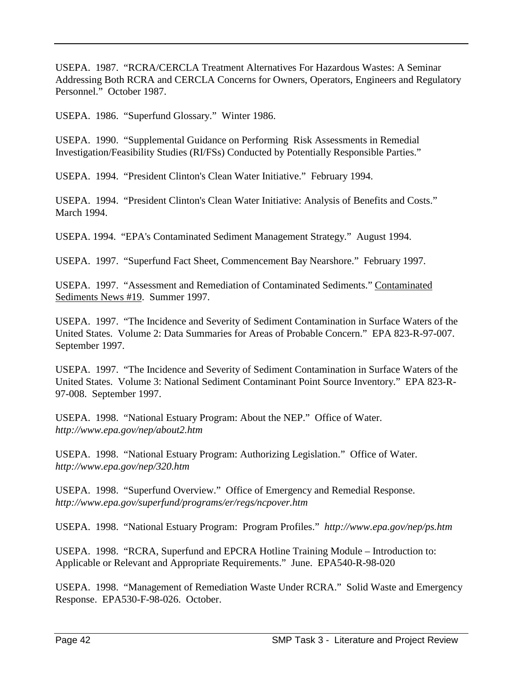USEPA. 1987. "RCRA/CERCLA Treatment Alternatives For Hazardous Wastes: A Seminar Addressing Both RCRA and CERCLA Concerns for Owners, Operators, Engineers and Regulatory Personnel." October 1987.

USEPA. 1986. "Superfund Glossary." Winter 1986.

USEPA. 1990. "Supplemental Guidance on Performing Risk Assessments in Remedial Investigation/Feasibility Studies (RI/FSs) Conducted by Potentially Responsible Parties."

USEPA. 1994. "President Clinton's Clean Water Initiative." February 1994.

USEPA. 1994. "President Clinton's Clean Water Initiative: Analysis of Benefits and Costs." March 1994.

USEPA. 1994. "EPA's Contaminated Sediment Management Strategy." August 1994.

USEPA. 1997. "Superfund Fact Sheet, Commencement Bay Nearshore." February 1997.

USEPA. 1997. "Assessment and Remediation of Contaminated Sediments." Contaminated Sediments News #19. Summer 1997.

USEPA. 1997. "The Incidence and Severity of Sediment Contamination in Surface Waters of the United States. Volume 2: Data Summaries for Areas of Probable Concern." EPA 823-R-97-007. September 1997.

USEPA. 1997. "The Incidence and Severity of Sediment Contamination in Surface Waters of the United States. Volume 3: National Sediment Contaminant Point Source Inventory." EPA 823-R-97-008. September 1997.

USEPA. 1998. "National Estuary Program: About the NEP." Office of Water. *http://www.epa.gov/nep/about2.htm*

USEPA. 1998. "National Estuary Program: Authorizing Legislation." Office of Water. *http://www.epa.gov/nep/320.htm*

USEPA. 1998. "Superfund Overview." Office of Emergency and Remedial Response. *http://www.epa.gov/superfund/programs/er/regs/ncpover.htm*

USEPA. 1998. "National Estuary Program: Program Profiles." *http://www.epa.gov/nep/ps.htm*

USEPA. 1998. "RCRA, Superfund and EPCRA Hotline Training Module – Introduction to: Applicable or Relevant and Appropriate Requirements." June. EPA540-R-98-020

USEPA. 1998. "Management of Remediation Waste Under RCRA." Solid Waste and Emergency Response. EPA530-F-98-026. October.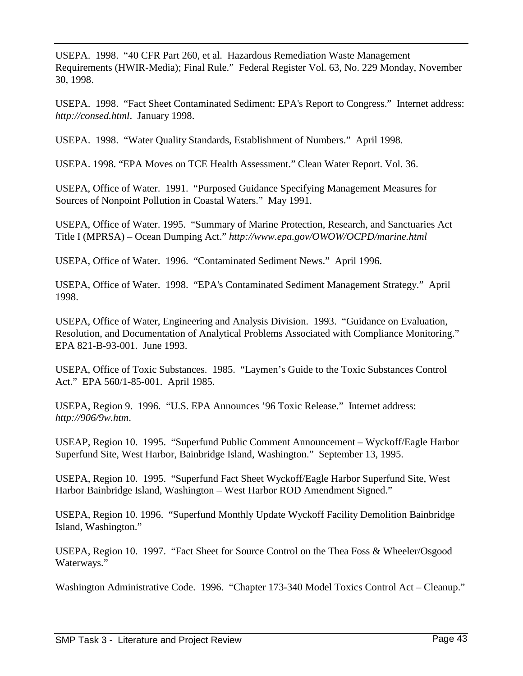USEPA. 1998. "40 CFR Part 260, et al. Hazardous Remediation Waste Management Requirements (HWIR-Media); Final Rule." Federal Register Vol. 63, No. 229 Monday, November 30, 1998.

USEPA. 1998. "Fact Sheet Contaminated Sediment: EPA's Report to Congress." Internet address: *http://consed.html*. January 1998.

USEPA. 1998. "Water Quality Standards, Establishment of Numbers." April 1998.

USEPA. 1998. "EPA Moves on TCE Health Assessment." Clean Water Report. Vol. 36.

USEPA, Office of Water. 1991. "Purposed Guidance Specifying Management Measures for Sources of Nonpoint Pollution in Coastal Waters." May 1991.

USEPA, Office of Water. 1995. "Summary of Marine Protection, Research, and Sanctuaries Act Title I (MPRSA) – Ocean Dumping Act." *http://www.epa.gov/OWOW/OCPD/marine.html*

USEPA, Office of Water. 1996. "Contaminated Sediment News." April 1996.

USEPA, Office of Water. 1998. "EPA's Contaminated Sediment Management Strategy." April 1998.

USEPA, Office of Water, Engineering and Analysis Division. 1993. "Guidance on Evaluation, Resolution, and Documentation of Analytical Problems Associated with Compliance Monitoring." EPA 821-B-93-001. June 1993.

USEPA, Office of Toxic Substances. 1985. "Laymen's Guide to the Toxic Substances Control Act." EPA 560/1-85-001. April 1985.

USEPA, Region 9. 1996. "U.S. EPA Announces '96 Toxic Release." Internet address: *http://906/9w.htm*.

USEAP, Region 10. 1995. "Superfund Public Comment Announcement – Wyckoff/Eagle Harbor Superfund Site, West Harbor, Bainbridge Island, Washington." September 13, 1995.

USEPA, Region 10. 1995. "Superfund Fact Sheet Wyckoff/Eagle Harbor Superfund Site, West Harbor Bainbridge Island, Washington – West Harbor ROD Amendment Signed."

USEPA, Region 10. 1996. "Superfund Monthly Update Wyckoff Facility Demolition Bainbridge Island, Washington."

USEPA, Region 10. 1997. "Fact Sheet for Source Control on the Thea Foss & Wheeler/Osgood Waterways."

Washington Administrative Code. 1996. "Chapter 173-340 Model Toxics Control Act – Cleanup."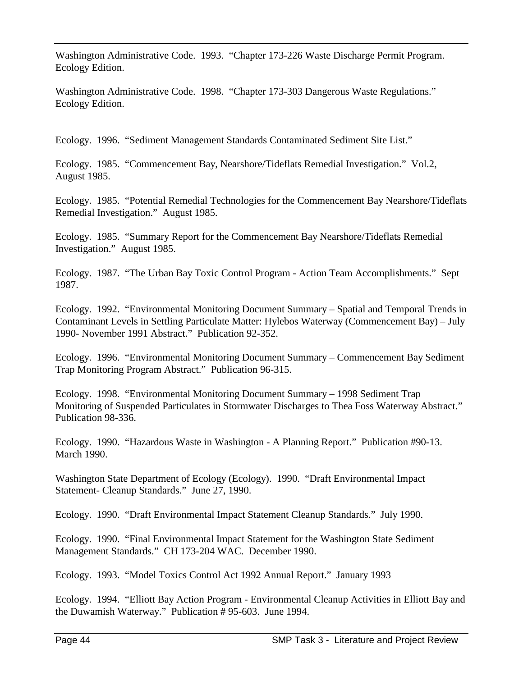Washington Administrative Code. 1993. "Chapter 173-226 Waste Discharge Permit Program. Ecology Edition.

Washington Administrative Code. 1998. "Chapter 173-303 Dangerous Waste Regulations." Ecology Edition.

Ecology. 1996. "Sediment Management Standards Contaminated Sediment Site List."

Ecology. 1985. "Commencement Bay, Nearshore/Tideflats Remedial Investigation." Vol.2, August 1985.

Ecology. 1985. "Potential Remedial Technologies for the Commencement Bay Nearshore/Tideflats Remedial Investigation." August 1985.

Ecology. 1985. "Summary Report for the Commencement Bay Nearshore/Tideflats Remedial Investigation." August 1985.

Ecology. 1987. "The Urban Bay Toxic Control Program - Action Team Accomplishments." Sept 1987.

Ecology. 1992. "Environmental Monitoring Document Summary – Spatial and Temporal Trends in Contaminant Levels in Settling Particulate Matter: Hylebos Waterway (Commencement Bay) – July 1990- November 1991 Abstract." Publication 92-352.

Ecology. 1996. "Environmental Monitoring Document Summary – Commencement Bay Sediment Trap Monitoring Program Abstract." Publication 96-315.

Ecology. 1998. "Environmental Monitoring Document Summary – 1998 Sediment Trap Monitoring of Suspended Particulates in Stormwater Discharges to Thea Foss Waterway Abstract." Publication 98-336.

Ecology. 1990. "Hazardous Waste in Washington - A Planning Report." Publication #90-13. March 1990.

Washington State Department of Ecology (Ecology). 1990. "Draft Environmental Impact Statement- Cleanup Standards." June 27, 1990.

Ecology. 1990. "Draft Environmental Impact Statement Cleanup Standards." July 1990.

Ecology. 1990. "Final Environmental Impact Statement for the Washington State Sediment Management Standards." CH 173-204 WAC. December 1990.

Ecology. 1993. "Model Toxics Control Act 1992 Annual Report." January 1993

Ecology. 1994. "Elliott Bay Action Program - Environmental Cleanup Activities in Elliott Bay and the Duwamish Waterway." Publication # 95-603. June 1994.